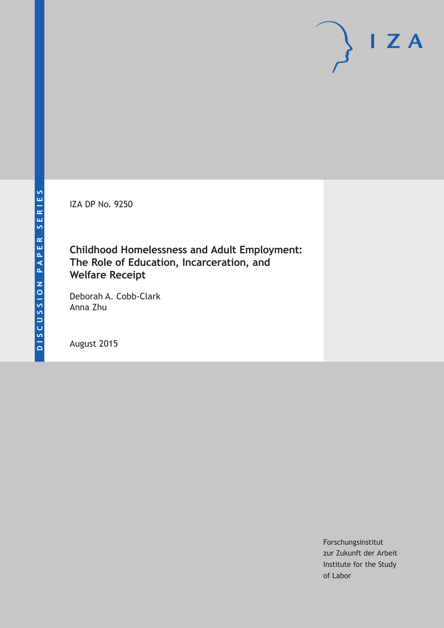IZA DP No. 9250

# **Childhood Homelessness and Adult Employment: The Role of Education, Incarceration, and Welfare Receipt**

Deborah A. Cobb-Clark Anna Zhu

August 2015

Forschungsinstitut zur Zukunft der Arbeit Institute for the Study of Labor

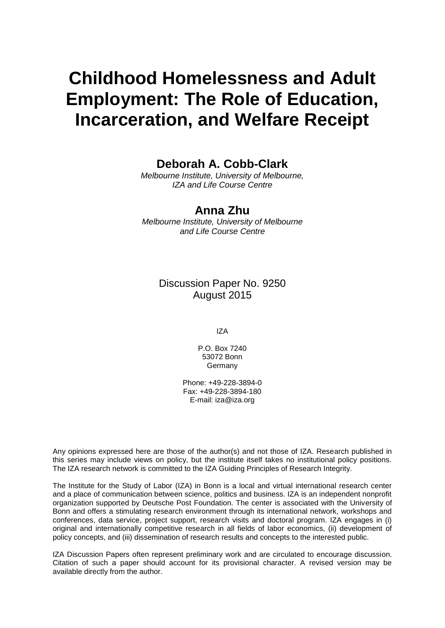# **Childhood Homelessness and Adult Employment: The Role of Education, Incarceration, and Welfare Receipt**

# **Deborah A. Cobb-Clark**

*Melbourne Institute, University of Melbourne, IZA and Life Course Centre*

# **Anna Zhu**

*Melbourne Institute, University of Melbourne and Life Course Centre*

> Discussion Paper No. 9250 August 2015

> > IZA

P.O. Box 7240 53072 Bonn Germany

Phone: +49-228-3894-0 Fax: +49-228-3894-180 E-mail: iza@iza.org

Any opinions expressed here are those of the author(s) and not those of IZA. Research published in this series may include views on policy, but the institute itself takes no institutional policy positions. The IZA research network is committed to the IZA Guiding Principles of Research Integrity.

The Institute for the Study of Labor (IZA) in Bonn is a local and virtual international research center and a place of communication between science, politics and business. IZA is an independent nonprofit organization supported by Deutsche Post Foundation. The center is associated with the University of Bonn and offers a stimulating research environment through its international network, workshops and conferences, data service, project support, research visits and doctoral program. IZA engages in (i) original and internationally competitive research in all fields of labor economics, (ii) development of policy concepts, and (iii) dissemination of research results and concepts to the interested public.

IZA Discussion Papers often represent preliminary work and are circulated to encourage discussion. Citation of such a paper should account for its provisional character. A revised version may be available directly from the author.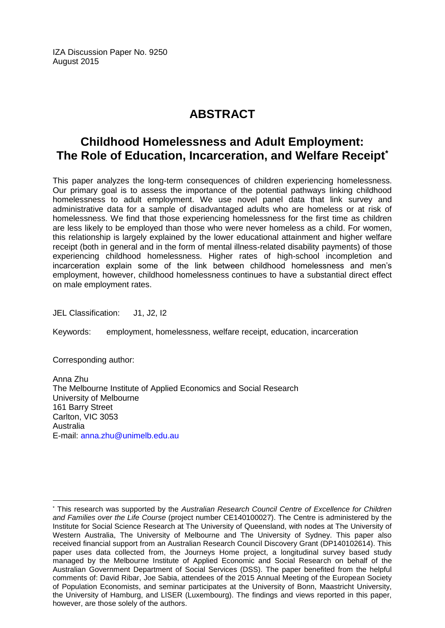IZA Discussion Paper No. 9250 August 2015

# **ABSTRACT**

# **Childhood Homelessness and Adult Employment: The Role of Education, Incarceration, and Welfare Receipt\***

This paper analyzes the long-term consequences of children experiencing homelessness. Our primary goal is to assess the importance of the potential pathways linking childhood homelessness to adult employment. We use novel panel data that link survey and administrative data for a sample of disadvantaged adults who are homeless or at risk of homelessness. We find that those experiencing homelessness for the first time as children are less likely to be employed than those who were never homeless as a child. For women, this relationship is largely explained by the lower educational attainment and higher welfare receipt (both in general and in the form of mental illness-related disability payments) of those experiencing childhood homelessness. Higher rates of high-school incompletion and incarceration explain some of the link between childhood homelessness and men's employment, however, childhood homelessness continues to have a substantial direct effect on male employment rates.

JEL Classification: J1, J2, I2

Keywords: employment, homelessness, welfare receipt, education, incarceration

Corresponding author:

 $\overline{a}$ 

Anna Zhu The Melbourne Institute of Applied Economics and Social Research University of Melbourne 161 Barry Street Carlton, VIC 3053 Australia E-mail: [anna.zhu@unimelb.edu.au](mailto:anna.zhu@unimelb.edu.au)

<sup>\*</sup> This research was supported by the *Australian Research Council Centre of Excellence for Children and Families over the Life Course* (project number CE140100027). The Centre is administered by the Institute for Social Science Research at The University of Queensland, with nodes at The University of Western Australia, The University of Melbourne and The University of Sydney. This paper also received financial support from an Australian Research Council Discovery Grant (DP140102614). This paper uses data collected from, the Journeys Home project, a longitudinal survey based study managed by the Melbourne Institute of Applied Economic and Social Research on behalf of the Australian Government Department of Social Services (DSS). The paper benefited from the helpful comments of: David Ribar, Joe Sabia, attendees of the 2015 Annual Meeting of the European Society of Population Economists, and seminar participates at the University of Bonn, Maastricht University, the University of Hamburg, and LISER (Luxembourg). The findings and views reported in this paper, however, are those solely of the authors.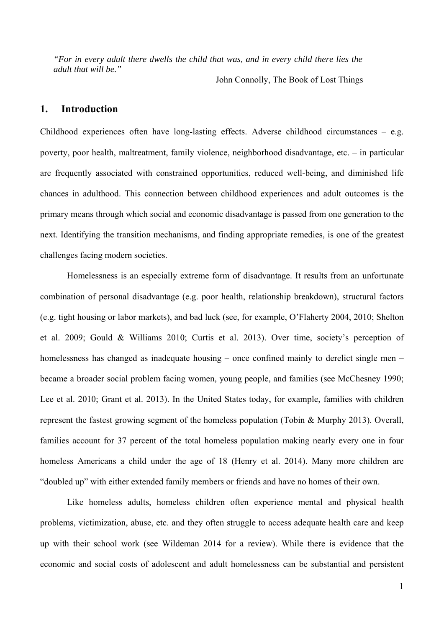*"For in every adult there dwells the child that was, and in every child there lies the adult that will be."* 

John Connolly, The Book of Lost Things

# **1. Introduction**

Childhood experiences often have long-lasting effects. Adverse childhood circumstances – e.g. poverty, poor health, maltreatment, family violence, neighborhood disadvantage, etc. – in particular are frequently associated with constrained opportunities, reduced well-being, and diminished life chances in adulthood. This connection between childhood experiences and adult outcomes is the primary means through which social and economic disadvantage is passed from one generation to the next. Identifying the transition mechanisms, and finding appropriate remedies, is one of the greatest challenges facing modern societies.

Homelessness is an especially extreme form of disadvantage. It results from an unfortunate combination of personal disadvantage (e.g. poor health, relationship breakdown), structural factors (e.g. tight housing or labor markets), and bad luck (see, for example, O'Flaherty 2004, 2010; Shelton et al. 2009; Gould & Williams 2010; Curtis et al. 2013). Over time, society's perception of homelessness has changed as inadequate housing – once confined mainly to derelict single men – became a broader social problem facing women, young people, and families (see McChesney 1990; Lee et al. 2010; Grant et al. 2013). In the United States today, for example, families with children represent the fastest growing segment of the homeless population (Tobin & Murphy 2013). Overall, families account for 37 percent of the total homeless population making nearly every one in four homeless Americans a child under the age of 18 (Henry et al. 2014). Many more children are "doubled up" with either extended family members or friends and have no homes of their own.

Like homeless adults, homeless children often experience mental and physical health problems, victimization, abuse, etc. and they often struggle to access adequate health care and keep up with their school work (see Wildeman 2014 for a review). While there is evidence that the economic and social costs of adolescent and adult homelessness can be substantial and persistent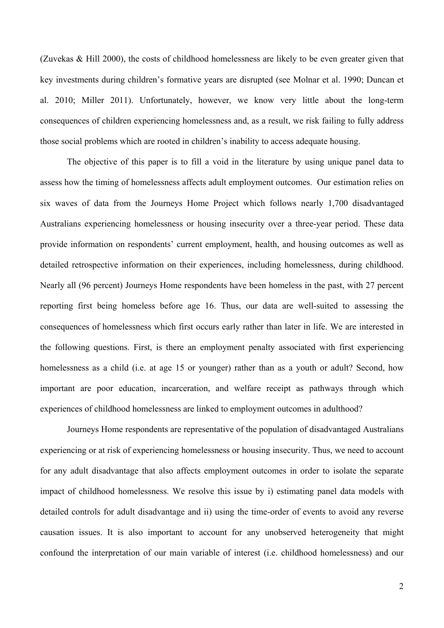(Zuvekas & Hill 2000), the costs of childhood homelessness are likely to be even greater given that key investments during children's formative years are disrupted (see Molnar et al. 1990; Duncan et al. 2010; Miller 2011). Unfortunately, however, we know very little about the long-term consequences of children experiencing homelessness and, as a result, we risk failing to fully address those social problems which are rooted in children's inability to access adequate housing.

The objective of this paper is to fill a void in the literature by using unique panel data to assess how the timing of homelessness affects adult employment outcomes. Our estimation relies on six waves of data from the Journeys Home Project which follows nearly 1,700 disadvantaged Australians experiencing homelessness or housing insecurity over a three-year period. These data provide information on respondents' current employment, health, and housing outcomes as well as detailed retrospective information on their experiences, including homelessness, during childhood. Nearly all (96 percent) Journeys Home respondents have been homeless in the past, with 27 percent reporting first being homeless before age 16. Thus, our data are well-suited to assessing the consequences of homelessness which first occurs early rather than later in life. We are interested in the following questions. First, is there an employment penalty associated with first experiencing homelessness as a child (i.e. at age 15 or younger) rather than as a youth or adult? Second, how important are poor education, incarceration, and welfare receipt as pathways through which experiences of childhood homelessness are linked to employment outcomes in adulthood?

Journeys Home respondents are representative of the population of disadvantaged Australians experiencing or at risk of experiencing homelessness or housing insecurity. Thus, we need to account for any adult disadvantage that also affects employment outcomes in order to isolate the separate impact of childhood homelessness. We resolve this issue by i) estimating panel data models with detailed controls for adult disadvantage and ii) using the time-order of events to avoid any reverse causation issues. It is also important to account for any unobserved heterogeneity that might confound the interpretation of our main variable of interest (i.e. childhood homelessness) and our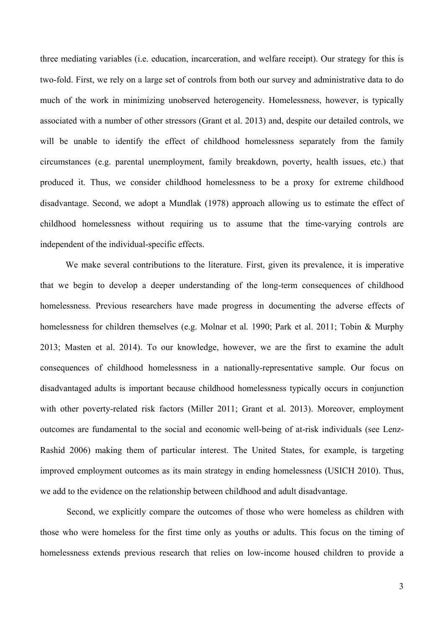three mediating variables (i.e. education, incarceration, and welfare receipt). Our strategy for this is two-fold. First, we rely on a large set of controls from both our survey and administrative data to do much of the work in minimizing unobserved heterogeneity. Homelessness, however, is typically associated with a number of other stressors (Grant et al. 2013) and, despite our detailed controls, we will be unable to identify the effect of childhood homelessness separately from the family circumstances (e.g. parental unemployment, family breakdown, poverty, health issues, etc.) that produced it. Thus, we consider childhood homelessness to be a proxy for extreme childhood disadvantage. Second, we adopt a Mundlak (1978) approach allowing us to estimate the effect of childhood homelessness without requiring us to assume that the time-varying controls are independent of the individual-specific effects.

We make several contributions to the literature. First, given its prevalence, it is imperative that we begin to develop a deeper understanding of the long-term consequences of childhood homelessness. Previous researchers have made progress in documenting the adverse effects of homelessness for children themselves (e.g. Molnar et al. 1990; Park et al. 2011; Tobin & Murphy 2013; Masten et al. 2014). To our knowledge, however, we are the first to examine the adult consequences of childhood homelessness in a nationally-representative sample. Our focus on disadvantaged adults is important because childhood homelessness typically occurs in conjunction with other poverty-related risk factors (Miller 2011; Grant et al. 2013). Moreover, employment outcomes are fundamental to the social and economic well-being of at-risk individuals (see Lenz-Rashid 2006) making them of particular interest. The United States, for example, is targeting improved employment outcomes as its main strategy in ending homelessness (USICH 2010). Thus, we add to the evidence on the relationship between childhood and adult disadvantage.

Second, we explicitly compare the outcomes of those who were homeless as children with those who were homeless for the first time only as youths or adults. This focus on the timing of homelessness extends previous research that relies on low-income housed children to provide a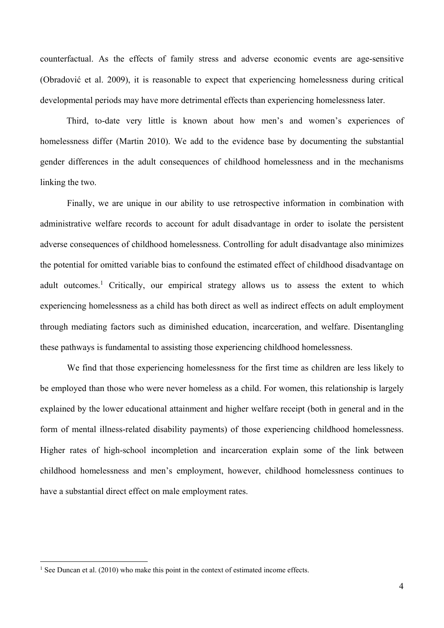counterfactual. As the effects of family stress and adverse economic events are age-sensitive (Obradović et al. 2009), it is reasonable to expect that experiencing homelessness during critical developmental periods may have more detrimental effects than experiencing homelessness later.

Third, to-date very little is known about how men's and women's experiences of homelessness differ (Martin 2010). We add to the evidence base by documenting the substantial gender differences in the adult consequences of childhood homelessness and in the mechanisms linking the two.

Finally, we are unique in our ability to use retrospective information in combination with administrative welfare records to account for adult disadvantage in order to isolate the persistent adverse consequences of childhood homelessness. Controlling for adult disadvantage also minimizes the potential for omitted variable bias to confound the estimated effect of childhood disadvantage on adult outcomes.<sup>1</sup> Critically, our empirical strategy allows us to assess the extent to which experiencing homelessness as a child has both direct as well as indirect effects on adult employment through mediating factors such as diminished education, incarceration, and welfare. Disentangling these pathways is fundamental to assisting those experiencing childhood homelessness.

We find that those experiencing homelessness for the first time as children are less likely to be employed than those who were never homeless as a child. For women, this relationship is largely explained by the lower educational attainment and higher welfare receipt (both in general and in the form of mental illness-related disability payments) of those experiencing childhood homelessness. Higher rates of high-school incompletion and incarceration explain some of the link between childhood homelessness and men's employment, however, childhood homelessness continues to have a substantial direct effect on male employment rates.

 $\overline{a}$ 

<sup>&</sup>lt;sup>1</sup> See Duncan et al. (2010) who make this point in the context of estimated income effects.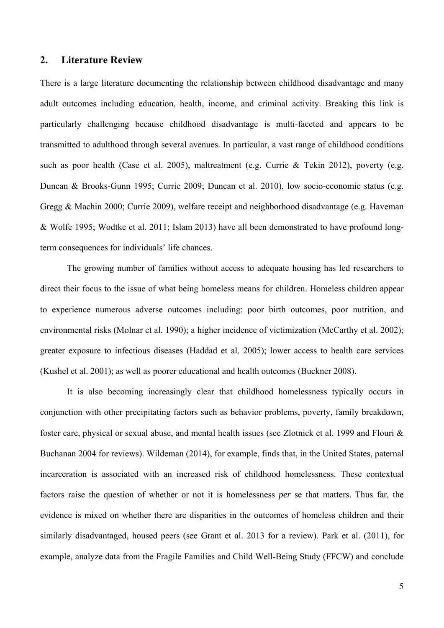# **2. Literature Review**

There is a large literature documenting the relationship between childhood disadvantage and many adult outcomes including education, health, income, and criminal activity. Breaking this link is particularly challenging because childhood disadvantage is multi-faceted and appears to be transmitted to adulthood through several avenues. In particular, a vast range of childhood conditions such as poor health (Case et al. 2005), maltreatment (e.g. Currie & Tekin 2012), poverty (e.g. Duncan & Brooks-Gunn 1995; Currie 2009; Duncan et al. 2010), low socio-economic status (e.g. Gregg & Machin 2000; Currie 2009), welfare receipt and neighborhood disadvantage (e.g. Haveman & Wolfe 1995; Wodtke et al. 2011; Islam 2013) have all been demonstrated to have profound longterm consequences for individuals' life chances.

The growing number of families without access to adequate housing has led researchers to direct their focus to the issue of what being homeless means for children. Homeless children appear to experience numerous adverse outcomes including: poor birth outcomes, poor nutrition, and environmental risks (Molnar et al. 1990); a higher incidence of victimization (McCarthy et al. 2002); greater exposure to infectious diseases (Haddad et al. 2005); lower access to health care services (Kushel et al. 2001); as well as poorer educational and health outcomes (Buckner 2008).

It is also becoming increasingly clear that childhood homelessness typically occurs in conjunction with other precipitating factors such as behavior problems, poverty, family breakdown, foster care, physical or sexual abuse, and mental health issues (see Zlotnick et al. 1999 and Flouri & Buchanan 2004 for reviews). Wildeman (2014), for example, finds that, in the United States, paternal incarceration is associated with an increased risk of childhood homelessness. These contextual factors raise the question of whether or not it is homelessness *per* se that matters. Thus far, the evidence is mixed on whether there are disparities in the outcomes of homeless children and their similarly disadvantaged, housed peers (see Grant et al. 2013 for a review). Park et al. (2011), for example, analyze data from the Fragile Families and Child Well-Being Study (FFCW) and conclude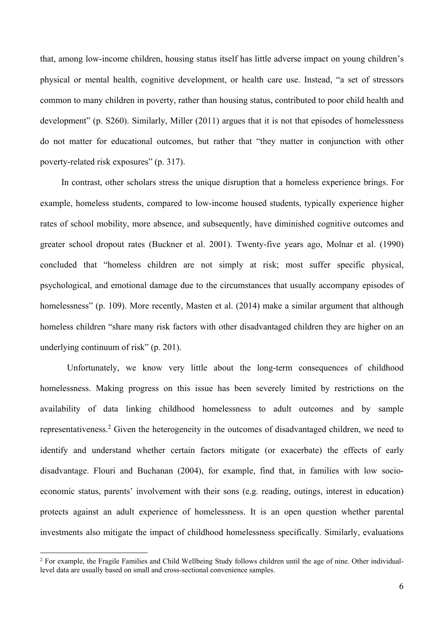that, among low-income children, housing status itself has little adverse impact on young children's physical or mental health, cognitive development, or health care use. Instead, "a set of stressors common to many children in poverty, rather than housing status, contributed to poor child health and development" (p. S260). Similarly, Miller (2011) argues that it is not that episodes of homelessness do not matter for educational outcomes, but rather that "they matter in conjunction with other poverty-related risk exposures" (p. 317).

In contrast, other scholars stress the unique disruption that a homeless experience brings. For example, homeless students, compared to low-income housed students, typically experience higher rates of school mobility, more absence, and subsequently, have diminished cognitive outcomes and greater school dropout rates (Buckner et al. 2001). Twenty-five years ago, Molnar et al. (1990) concluded that "homeless children are not simply at risk; most suffer specific physical, psychological, and emotional damage due to the circumstances that usually accompany episodes of homelessness" (p. 109). More recently, Masten et al. (2014) make a similar argument that although homeless children "share many risk factors with other disadvantaged children they are higher on an underlying continuum of risk" (p. 201).

Unfortunately, we know very little about the long-term consequences of childhood homelessness. Making progress on this issue has been severely limited by restrictions on the availability of data linking childhood homelessness to adult outcomes and by sample representativeness.<sup>2</sup> Given the heterogeneity in the outcomes of disadvantaged children, we need to identify and understand whether certain factors mitigate (or exacerbate) the effects of early disadvantage. Flouri and Buchanan (2004), for example, find that, in families with low socioeconomic status, parents' involvement with their sons (e.g. reading, outings, interest in education) protects against an adult experience of homelessness. It is an open question whether parental investments also mitigate the impact of childhood homelessness specifically. Similarly, evaluations

 $\overline{a}$ 

<sup>&</sup>lt;sup>2</sup> For example, the Fragile Families and Child Wellbeing Study follows children until the age of nine. Other individuallevel data are usually based on small and cross-sectional convenience samples.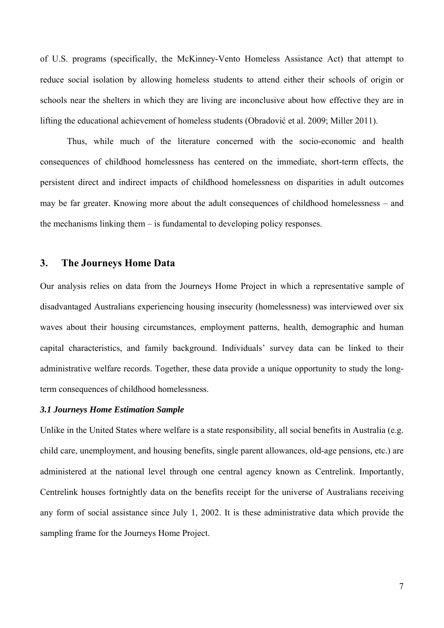of U.S. programs (specifically, the McKinney-Vento Homeless Assistance Act) that attempt to reduce social isolation by allowing homeless students to attend either their schools of origin or schools near the shelters in which they are living are inconclusive about how effective they are in lifting the educational achievement of homeless students (Obradović et al. 2009; Miller 2011).

Thus, while much of the literature concerned with the socio-economic and health consequences of childhood homelessness has centered on the immediate, short-term effects, the persistent direct and indirect impacts of childhood homelessness on disparities in adult outcomes may be far greater. Knowing more about the adult consequences of childhood homelessness – and the mechanisms linking them – is fundamental to developing policy responses.

# **3. The Journeys Home Data**

Our analysis relies on data from the Journeys Home Project in which a representative sample of disadvantaged Australians experiencing housing insecurity (homelessness) was interviewed over six waves about their housing circumstances, employment patterns, health, demographic and human capital characteristics, and family background. Individuals' survey data can be linked to their administrative welfare records. Together, these data provide a unique opportunity to study the longterm consequences of childhood homelessness.

### *3.1 Journeys Home Estimation Sample*

Unlike in the United States where welfare is a state responsibility, all social benefits in Australia (e.g. child care, unemployment, and housing benefits, single parent allowances, old-age pensions, etc.) are administered at the national level through one central agency known as Centrelink. Importantly, Centrelink houses fortnightly data on the benefits receipt for the universe of Australians receiving any form of social assistance since July 1, 2002. It is these administrative data which provide the sampling frame for the Journeys Home Project.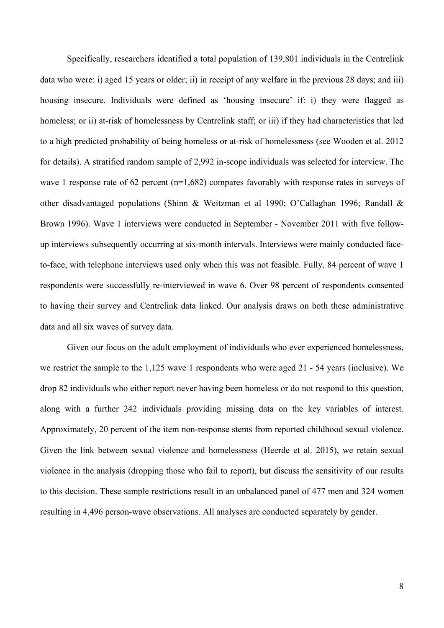Specifically, researchers identified a total population of 139,801 individuals in the Centrelink data who were: i) aged 15 years or older; ii) in receipt of any welfare in the previous 28 days; and iii) housing insecure. Individuals were defined as 'housing insecure' if: i) they were flagged as homeless; or ii) at-risk of homelessness by Centrelink staff; or iii) if they had characteristics that led to a high predicted probability of being homeless or at-risk of homelessness (see Wooden et al. 2012 for details). A stratified random sample of 2,992 in-scope individuals was selected for interview. The wave 1 response rate of 62 percent  $(n=1,682)$  compares favorably with response rates in surveys of other disadvantaged populations (Shinn & Weitzman et al 1990; O'Callaghan 1996; Randall & Brown 1996). Wave 1 interviews were conducted in September - November 2011 with five followup interviews subsequently occurring at six-month intervals. Interviews were mainly conducted faceto-face, with telephone interviews used only when this was not feasible. Fully, 84 percent of wave 1 respondents were successfully re-interviewed in wave 6. Over 98 percent of respondents consented to having their survey and Centrelink data linked. Our analysis draws on both these administrative data and all six waves of survey data.

Given our focus on the adult employment of individuals who ever experienced homelessness, we restrict the sample to the 1,125 wave 1 respondents who were aged 21 - 54 years (inclusive). We drop 82 individuals who either report never having been homeless or do not respond to this question, along with a further 242 individuals providing missing data on the key variables of interest. Approximately, 20 percent of the item non-response stems from reported childhood sexual violence. Given the link between sexual violence and homelessness (Heerde et al. 2015), we retain sexual violence in the analysis (dropping those who fail to report), but discuss the sensitivity of our results to this decision. These sample restrictions result in an unbalanced panel of 477 men and 324 women resulting in 4,496 person-wave observations. All analyses are conducted separately by gender.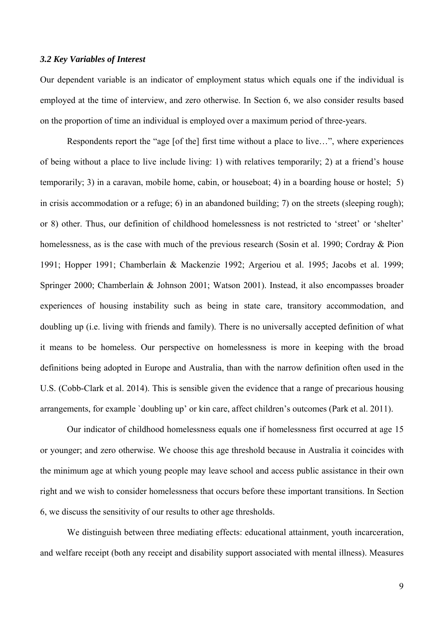#### *3.2 Key Variables of Interest*

Our dependent variable is an indicator of employment status which equals one if the individual is employed at the time of interview, and zero otherwise. In Section 6, we also consider results based on the proportion of time an individual is employed over a maximum period of three-years.

Respondents report the "age [of the] first time without a place to live…", where experiences of being without a place to live include living: 1) with relatives temporarily; 2) at a friend's house temporarily; 3) in a caravan, mobile home, cabin, or houseboat; 4) in a boarding house or hostel; 5) in crisis accommodation or a refuge; 6) in an abandoned building; 7) on the streets (sleeping rough); or 8) other. Thus, our definition of childhood homelessness is not restricted to 'street' or 'shelter' homelessness, as is the case with much of the previous research (Sosin et al. 1990; Cordray & Pion 1991; Hopper 1991; Chamberlain & Mackenzie 1992; Argeriou et al. 1995; Jacobs et al. 1999; Springer 2000; Chamberlain & Johnson 2001; Watson 2001). Instead, it also encompasses broader experiences of housing instability such as being in state care, transitory accommodation, and doubling up (i.e. living with friends and family). There is no universally accepted definition of what it means to be homeless. Our perspective on homelessness is more in keeping with the broad definitions being adopted in Europe and Australia, than with the narrow definition often used in the U.S. (Cobb-Clark et al. 2014). This is sensible given the evidence that a range of precarious housing arrangements, for example `doubling up' or kin care, affect children's outcomes (Park et al. 2011).

Our indicator of childhood homelessness equals one if homelessness first occurred at age 15 or younger; and zero otherwise. We choose this age threshold because in Australia it coincides with the minimum age at which young people may leave school and access public assistance in their own right and we wish to consider homelessness that occurs before these important transitions. In Section 6, we discuss the sensitivity of our results to other age thresholds.

We distinguish between three mediating effects: educational attainment, youth incarceration, and welfare receipt (both any receipt and disability support associated with mental illness). Measures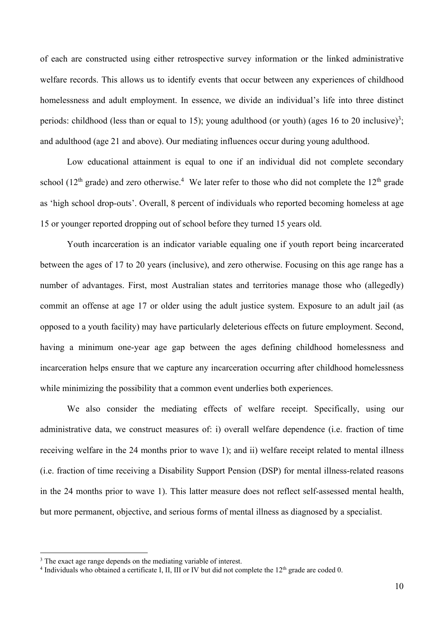of each are constructed using either retrospective survey information or the linked administrative welfare records. This allows us to identify events that occur between any experiences of childhood homelessness and adult employment. In essence, we divide an individual's life into three distinct periods: childhood (less than or equal to 15); young adulthood (or youth) (ages 16 to 20 inclusive)<sup>3</sup>; and adulthood (age 21 and above). Our mediating influences occur during young adulthood.

Low educational attainment is equal to one if an individual did not complete secondary school ( $12<sup>th</sup>$  grade) and zero otherwise.<sup>4</sup> We later refer to those who did not complete the  $12<sup>th</sup>$  grade as 'high school drop-outs'. Overall, 8 percent of individuals who reported becoming homeless at age 15 or younger reported dropping out of school before they turned 15 years old.

Youth incarceration is an indicator variable equaling one if youth report being incarcerated between the ages of 17 to 20 years (inclusive), and zero otherwise. Focusing on this age range has a number of advantages. First, most Australian states and territories manage those who (allegedly) commit an offense at age 17 or older using the adult justice system. Exposure to an adult jail (as opposed to a youth facility) may have particularly deleterious effects on future employment. Second, having a minimum one-year age gap between the ages defining childhood homelessness and incarceration helps ensure that we capture any incarceration occurring after childhood homelessness while minimizing the possibility that a common event underlies both experiences.

We also consider the mediating effects of welfare receipt. Specifically, using our administrative data, we construct measures of: i) overall welfare dependence (i.e. fraction of time receiving welfare in the 24 months prior to wave 1); and ii) welfare receipt related to mental illness (i.e. fraction of time receiving a Disability Support Pension (DSP) for mental illness-related reasons in the 24 months prior to wave 1). This latter measure does not reflect self-assessed mental health, but more permanent, objective, and serious forms of mental illness as diagnosed by a specialist.

 $\overline{a}$ 

<sup>&</sup>lt;sup>3</sup> The exact age range depends on the mediating variable of interest.<br><sup>4</sup> Individuals who obtained a certificate I II III or IV but did not con

<sup>&</sup>lt;sup>4</sup> Individuals who obtained a certificate I, II, III or IV but did not complete the  $12<sup>th</sup>$  grade are coded 0.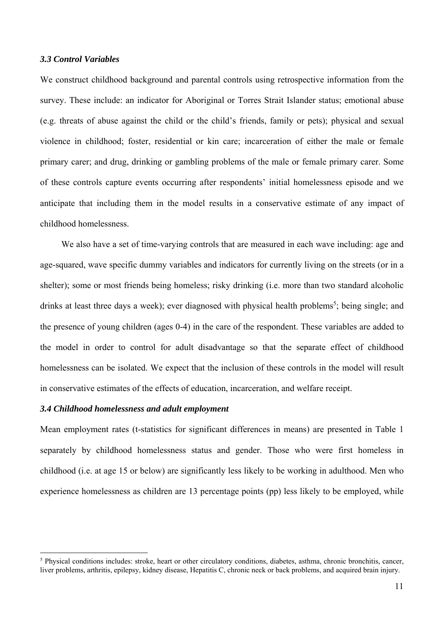#### *3.3 Control Variables*

We construct childhood background and parental controls using retrospective information from the survey. These include: an indicator for Aboriginal or Torres Strait Islander status; emotional abuse (e.g. threats of abuse against the child or the child's friends, family or pets); physical and sexual violence in childhood; foster, residential or kin care; incarceration of either the male or female primary carer; and drug, drinking or gambling problems of the male or female primary carer. Some of these controls capture events occurring after respondents' initial homelessness episode and we anticipate that including them in the model results in a conservative estimate of any impact of childhood homelessness.

We also have a set of time-varying controls that are measured in each wave including: age and age-squared, wave specific dummy variables and indicators for currently living on the streets (or in a shelter); some or most friends being homeless; risky drinking (i.e. more than two standard alcoholic drinks at least three days a week); ever diagnosed with physical health problems<sup>5</sup>; being single; and the presence of young children (ages 0-4) in the care of the respondent. These variables are added to the model in order to control for adult disadvantage so that the separate effect of childhood homelessness can be isolated. We expect that the inclusion of these controls in the model will result in conservative estimates of the effects of education, incarceration, and welfare receipt.

# *3.4 Childhood homelessness and adult employment*

 $\overline{a}$ 

Mean employment rates (t-statistics for significant differences in means) are presented in Table 1 separately by childhood homelessness status and gender. Those who were first homeless in childhood (i.e. at age 15 or below) are significantly less likely to be working in adulthood. Men who experience homelessness as children are 13 percentage points (pp) less likely to be employed, while

<sup>&</sup>lt;sup>5</sup> Physical conditions includes: stroke, heart or other circulatory conditions, diabetes, asthma, chronic bronchitis, cancer, liver problems, arthritis, epilepsy, kidney disease, Hepatitis C, chronic neck or back problems, and acquired brain injury.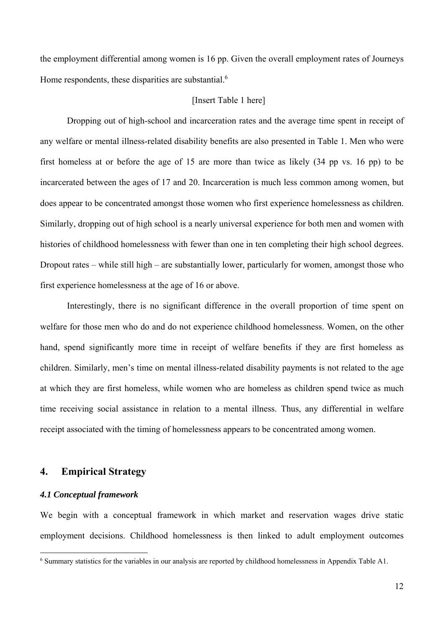the employment differential among women is 16 pp. Given the overall employment rates of Journeys Home respondents, these disparities are substantial.<sup>6</sup>

#### [Insert Table 1 here]

 Dropping out of high-school and incarceration rates and the average time spent in receipt of any welfare or mental illness-related disability benefits are also presented in Table 1. Men who were first homeless at or before the age of 15 are more than twice as likely (34 pp vs. 16 pp) to be incarcerated between the ages of 17 and 20. Incarceration is much less common among women, but does appear to be concentrated amongst those women who first experience homelessness as children. Similarly, dropping out of high school is a nearly universal experience for both men and women with histories of childhood homelessness with fewer than one in ten completing their high school degrees. Dropout rates – while still high – are substantially lower, particularly for women, amongst those who first experience homelessness at the age of 16 or above.

 Interestingly, there is no significant difference in the overall proportion of time spent on welfare for those men who do and do not experience childhood homelessness. Women, on the other hand, spend significantly more time in receipt of welfare benefits if they are first homeless as children. Similarly, men's time on mental illness-related disability payments is not related to the age at which they are first homeless, while women who are homeless as children spend twice as much time receiving social assistance in relation to a mental illness. Thus, any differential in welfare receipt associated with the timing of homelessness appears to be concentrated among women.

# **4. Empirical Strategy**

# *4.1 Conceptual framework*

 $\overline{a}$ 

We begin with a conceptual framework in which market and reservation wages drive static employment decisions. Childhood homelessness is then linked to adult employment outcomes

<sup>6</sup> Summary statistics for the variables in our analysis are reported by childhood homelessness in Appendix Table A1.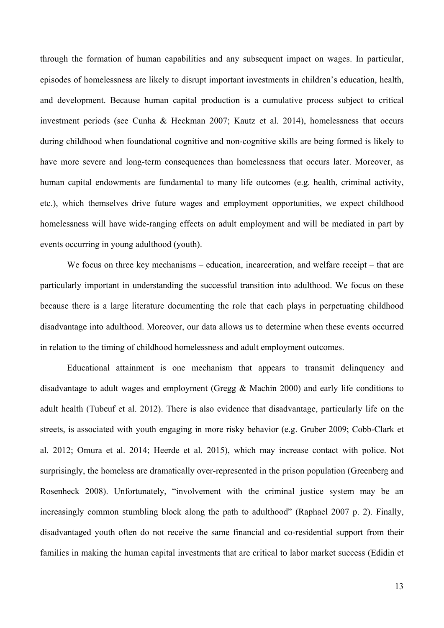through the formation of human capabilities and any subsequent impact on wages. In particular, episodes of homelessness are likely to disrupt important investments in children's education, health, and development. Because human capital production is a cumulative process subject to critical investment periods (see Cunha & Heckman 2007; Kautz et al. 2014), homelessness that occurs during childhood when foundational cognitive and non-cognitive skills are being formed is likely to have more severe and long-term consequences than homelessness that occurs later. Moreover, as human capital endowments are fundamental to many life outcomes (e.g. health, criminal activity, etc.), which themselves drive future wages and employment opportunities, we expect childhood homelessness will have wide-ranging effects on adult employment and will be mediated in part by events occurring in young adulthood (youth).

We focus on three key mechanisms – education, incarceration, and welfare receipt – that are particularly important in understanding the successful transition into adulthood. We focus on these because there is a large literature documenting the role that each plays in perpetuating childhood disadvantage into adulthood. Moreover, our data allows us to determine when these events occurred in relation to the timing of childhood homelessness and adult employment outcomes.

Educational attainment is one mechanism that appears to transmit delinquency and disadvantage to adult wages and employment (Gregg & Machin 2000) and early life conditions to adult health (Tubeuf et al. 2012). There is also evidence that disadvantage, particularly life on the streets, is associated with youth engaging in more risky behavior (e.g. Gruber 2009; Cobb-Clark et al. 2012; Omura et al. 2014; Heerde et al. 2015), which may increase contact with police. Not surprisingly, the homeless are dramatically over-represented in the prison population (Greenberg and Rosenheck 2008). Unfortunately, "involvement with the criminal justice system may be an increasingly common stumbling block along the path to adulthood" (Raphael 2007 p. 2). Finally, disadvantaged youth often do not receive the same financial and co-residential support from their families in making the human capital investments that are critical to labor market success (Edidin et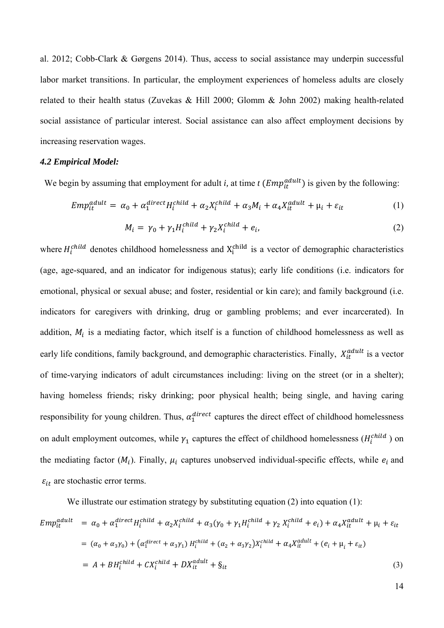al. 2012; Cobb-Clark & Gørgens 2014). Thus, access to social assistance may underpin successful labor market transitions. In particular, the employment experiences of homeless adults are closely related to their health status (Zuvekas & Hill 2000; Glomm & John 2002) making health-related social assistance of particular interest. Social assistance can also affect employment decisions by increasing reservation wages.

# *4.2 Empirical Model:*

We begin by assuming that employment for adult *i*, at time  $t$  ( $Emp_{it}^{adult}$ ) is given by the following:

$$
Emp_{it}^{adult} = \alpha_0 + \alpha_1^{direct} H_i^{child} + \alpha_2 X_i^{child} + \alpha_3 M_i + \alpha_4 X_{it}^{adult} + \mu_i + \varepsilon_{it}
$$
  
\n
$$
M_i = \gamma_0 + \gamma_1 H_i^{child} + \gamma_2 X_i^{child} + e_i,
$$
\n(2)

where  $H_i^{child}$  denotes childhood homelessness and  $X_i^{child}$  is a vector of demographic characteristics (age, age-squared, and an indicator for indigenous status); early life conditions (i.e. indicators for emotional, physical or sexual abuse; and foster, residential or kin care); and family background (i.e. indicators for caregivers with drinking, drug or gambling problems; and ever incarcerated). In addition,  $M_i$  is a mediating factor, which itself is a function of childhood homelessness as well as early life conditions, family background, and demographic characteristics. Finally,  $X_{it}^{adult}$  is a vector of time-varying indicators of adult circumstances including: living on the street (or in a shelter); having homeless friends; risky drinking; poor physical health; being single, and having caring responsibility for young children. Thus,  $\alpha_1^{direct}$  captures the direct effect of childhood homelessness on adult employment outcomes, while  $\gamma_1$  captures the effect of childhood homelessness ( $H_i^{child}$ ) on the mediating factor ( $M_i$ ). Finally,  $\mu_i$  captures unobserved individual-specific effects, while  $e_i$  and  $\varepsilon_{it}$  are stochastic error terms.

We illustrate our estimation strategy by substituting equation (2) into equation (1):

$$
Emp_{it}^{adult} = \alpha_0 + \alpha_1^{direct} H_i^{child} + \alpha_2 X_i^{child} + \alpha_3 (\gamma_0 + \gamma_1 H_i^{child} + \gamma_2 X_i^{child} + e_i) + \alpha_4 X_{it}^{adult} + \mu_i + \varepsilon_{it}
$$
  

$$
= (\alpha_0 + \alpha_3 \gamma_0) + (\alpha_1^{direct} + \alpha_3 \gamma_1) H_i^{child} + (\alpha_2 + \alpha_3 \gamma_2) X_i^{child} + \alpha_4 X_{it}^{adult} + (e_i + \mu_i + \varepsilon_{it})
$$
  

$$
= A + BH_i^{child} + CX_i^{child} + DX_{it}^{adult} + \S_{it}
$$
 (3)

14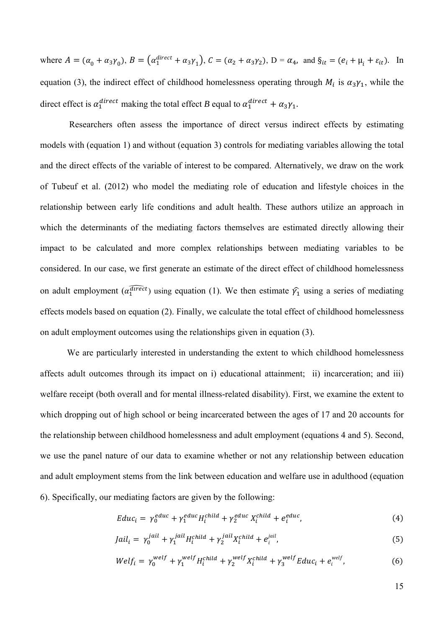where  $A = (\alpha_0 + \alpha_3 \gamma_0)$ ,  $B = (\alpha_1^{\text{direct}} + \alpha_3 \gamma_1)$ ,  $C = (\alpha_2 + \alpha_3 \gamma_2)$ ,  $D = \alpha_4$ , and  $S_{it} = (e_i + \mu_i + \varepsilon_{it})$ . In equation (3), the indirect effect of childhood homelessness operating through  $M_i$  is  $\alpha_3 \gamma_1$ , while the direct effect is  $\alpha_1^{direct}$  making the total effect *B* equal to  $\alpha_1^{direct} + \alpha_3 \gamma_1$ .

 Researchers often assess the importance of direct versus indirect effects by estimating models with (equation 1) and without (equation 3) controls for mediating variables allowing the total and the direct effects of the variable of interest to be compared. Alternatively, we draw on the work of Tubeuf et al. (2012) who model the mediating role of education and lifestyle choices in the relationship between early life conditions and adult health. These authors utilize an approach in which the determinants of the mediating factors themselves are estimated directly allowing their impact to be calculated and more complex relationships between mediating variables to be considered. In our case, we first generate an estimate of the direct effect of childhood homelessness on adult employment  $(\widehat{a_1^{direct}})$  using equation (1). We then estimate  $\widehat{\gamma}_1$  using a series of mediating effects models based on equation (2). Finally, we calculate the total effect of childhood homelessness on adult employment outcomes using the relationships given in equation (3).

We are particularly interested in understanding the extent to which childhood homelessness affects adult outcomes through its impact on i) educational attainment; ii) incarceration; and iii) welfare receipt (both overall and for mental illness-related disability). First, we examine the extent to which dropping out of high school or being incarcerated between the ages of 17 and 20 accounts for the relationship between childhood homelessness and adult employment (equations 4 and 5). Second, we use the panel nature of our data to examine whether or not any relationship between education and adult employment stems from the link between education and welfare use in adulthood (equation 6). Specifically, our mediating factors are given by the following:

$$
Educ_i = \gamma_0^{educ} + \gamma_1^{educ} H_i^{child} + \gamma_2^{educ} X_i^{child} + e_i^{educ}, \qquad (4)
$$

$$
Jail_i = \gamma_0^{jail} + \gamma_1^{jail} H_i^{child} + \gamma_2^{jail} X_i^{child} + e_i^{jail}, \qquad (5)
$$

$$
Welf_i = \gamma_0^{welf} + \gamma_1^{welf} H_i^{child} + \gamma_2^{welf} X_i^{child} + \gamma_3^{welf} E duc_i + e_i^{welf}, \qquad (6)
$$

15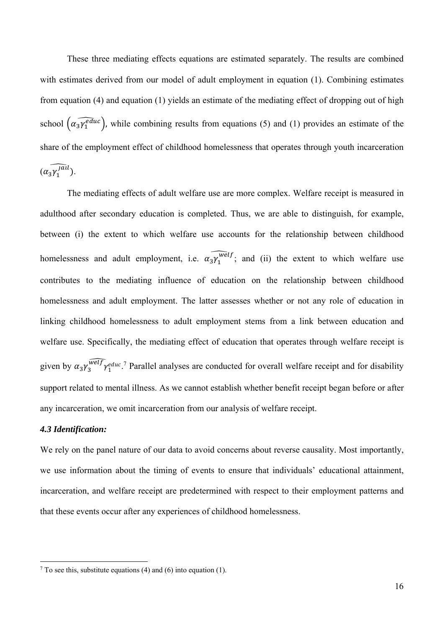These three mediating effects equations are estimated separately. The results are combined with estimates derived from our model of adult employment in equation (1). Combining estimates from equation (4) and equation (1) yields an estimate of the mediating effect of dropping out of high school  $\left(\widehat{\alpha_3 \gamma_1^{educ}}\right)$ , while combining results from equations (5) and (1) provides an estimate of the share of the employment effect of childhood homelessness that operates through youth incarceration  $\widehat{(\alpha_3 \gamma_1^{j \alpha_l l})}.$ 

The mediating effects of adult welfare use are more complex. Welfare receipt is measured in adulthood after secondary education is completed. Thus, we are able to distinguish, for example, between (i) the extent to which welfare use accounts for the relationship between childhood homelessness and adult employment, i.e.  $\widehat{\alpha_3 \gamma_1^{well}}$ ; and (ii) the extent to which welfare use contributes to the mediating influence of education on the relationship between childhood homelessness and adult employment. The latter assesses whether or not any role of education in linking childhood homelessness to adult employment stems from a link between education and welfare use. Specifically, the mediating effect of education that operates through welfare receipt is given by  $\alpha_3 \gamma_3^{\widehat{welf}} \gamma_1^{educ}$ .<sup>7</sup> Parallel analyses are conducted for overall welfare receipt and for disability support related to mental illness. As we cannot establish whether benefit receipt began before or after any incarceration, we omit incarceration from our analysis of welfare receipt.

## *4.3 Identification:*

We rely on the panel nature of our data to avoid concerns about reverse causality. Most importantly, we use information about the timing of events to ensure that individuals' educational attainment, incarceration, and welfare receipt are predetermined with respect to their employment patterns and that these events occur after any experiences of childhood homelessness.

 $\overline{7}$  To see this, substitute equations (4) and (6) into equation (1).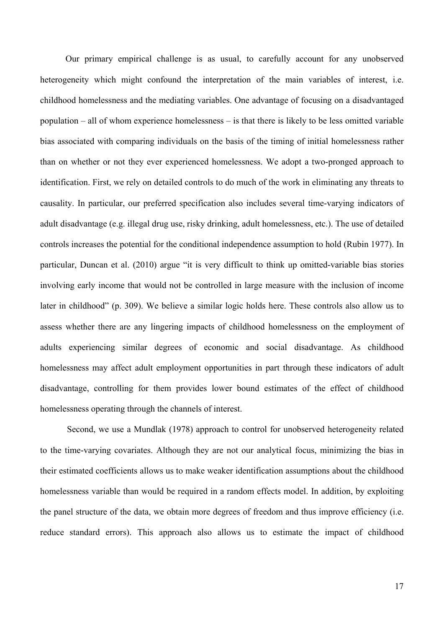Our primary empirical challenge is as usual, to carefully account for any unobserved heterogeneity which might confound the interpretation of the main variables of interest, i.e. childhood homelessness and the mediating variables. One advantage of focusing on a disadvantaged population – all of whom experience homelessness – is that there is likely to be less omitted variable bias associated with comparing individuals on the basis of the timing of initial homelessness rather than on whether or not they ever experienced homelessness. We adopt a two-pronged approach to identification. First, we rely on detailed controls to do much of the work in eliminating any threats to causality. In particular, our preferred specification also includes several time-varying indicators of adult disadvantage (e.g. illegal drug use, risky drinking, adult homelessness, etc.). The use of detailed controls increases the potential for the conditional independence assumption to hold (Rubin 1977). In particular, Duncan et al. (2010) argue "it is very difficult to think up omitted-variable bias stories involving early income that would not be controlled in large measure with the inclusion of income later in childhood" (p. 309). We believe a similar logic holds here. These controls also allow us to assess whether there are any lingering impacts of childhood homelessness on the employment of adults experiencing similar degrees of economic and social disadvantage. As childhood homelessness may affect adult employment opportunities in part through these indicators of adult disadvantage, controlling for them provides lower bound estimates of the effect of childhood homelessness operating through the channels of interest.

Second, we use a Mundlak (1978) approach to control for unobserved heterogeneity related to the time-varying covariates. Although they are not our analytical focus, minimizing the bias in their estimated coefficients allows us to make weaker identification assumptions about the childhood homelessness variable than would be required in a random effects model. In addition, by exploiting the panel structure of the data, we obtain more degrees of freedom and thus improve efficiency (i.e. reduce standard errors). This approach also allows us to estimate the impact of childhood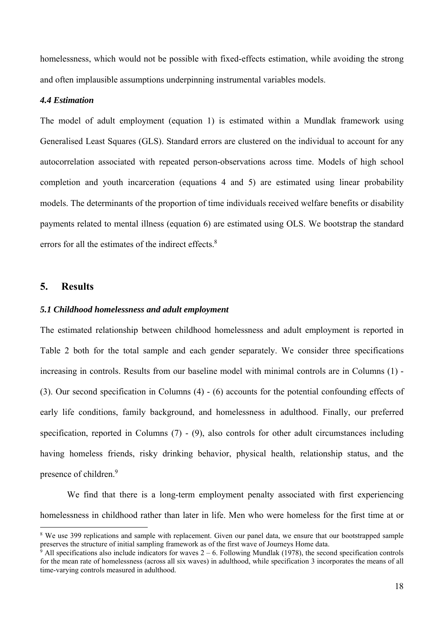homelessness, which would not be possible with fixed-effects estimation, while avoiding the strong and often implausible assumptions underpinning instrumental variables models.

#### *4.4 Estimation*

The model of adult employment (equation 1) is estimated within a Mundlak framework using Generalised Least Squares (GLS). Standard errors are clustered on the individual to account for any autocorrelation associated with repeated person-observations across time. Models of high school completion and youth incarceration (equations 4 and 5) are estimated using linear probability models. The determinants of the proportion of time individuals received welfare benefits or disability payments related to mental illness (equation 6) are estimated using OLS. We bootstrap the standard errors for all the estimates of the indirect effects.<sup>8</sup>

# **5. Results**

 $\overline{a}$ 

#### *5.1 Childhood homelessness and adult employment*

The estimated relationship between childhood homelessness and adult employment is reported in Table 2 both for the total sample and each gender separately. We consider three specifications increasing in controls. Results from our baseline model with minimal controls are in Columns (1) - (3). Our second specification in Columns (4) - (6) accounts for the potential confounding effects of early life conditions, family background, and homelessness in adulthood. Finally, our preferred specification, reported in Columns (7) - (9), also controls for other adult circumstances including having homeless friends, risky drinking behavior, physical health, relationship status, and the presence of children.<sup>9</sup>

We find that there is a long-term employment penalty associated with first experiencing homelessness in childhood rather than later in life. Men who were homeless for the first time at or

<sup>&</sup>lt;sup>8</sup> We use 399 replications and sample with replacement. Given our panel data, we ensure that our bootstrapped sample preserves the structure of initial sampling framework as of the first wave of Journeys Home data.

All specifications also include indicators for waves  $2 - 6$ . Following Mundlak (1978), the second specification controls for the mean rate of homelessness (across all six waves) in adulthood, while specification 3 incorporates the means of all time-varying controls measured in adulthood.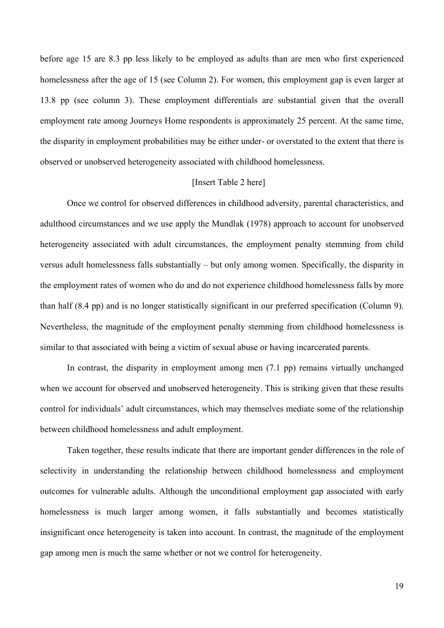before age 15 are 8.3 pp less likely to be employed as adults than are men who first experienced homelessness after the age of 15 (see Column 2). For women, this employment gap is even larger at 13.8 pp (see column 3). These employment differentials are substantial given that the overall employment rate among Journeys Home respondents is approximately 25 percent. At the same time, the disparity in employment probabilities may be either under- or overstated to the extent that there is observed or unobserved heterogeneity associated with childhood homelessness.

# [Insert Table 2 here]

Once we control for observed differences in childhood adversity, parental characteristics, and adulthood circumstances and we use apply the Mundlak (1978) approach to account for unobserved heterogeneity associated with adult circumstances, the employment penalty stemming from child versus adult homelessness falls substantially – but only among women. Specifically, the disparity in the employment rates of women who do and do not experience childhood homelessness falls by more than half (8.4 pp) and is no longer statistically significant in our preferred specification (Column 9). Nevertheless, the magnitude of the employment penalty stemming from childhood homelessness is similar to that associated with being a victim of sexual abuse or having incarcerated parents.

In contrast, the disparity in employment among men (7.1 pp) remains virtually unchanged when we account for observed and unobserved heterogeneity. This is striking given that these results control for individuals' adult circumstances, which may themselves mediate some of the relationship between childhood homelessness and adult employment.

Taken together, these results indicate that there are important gender differences in the role of selectivity in understanding the relationship between childhood homelessness and employment outcomes for vulnerable adults. Although the unconditional employment gap associated with early homelessness is much larger among women, it falls substantially and becomes statistically insignificant once heterogeneity is taken into account. In contrast, the magnitude of the employment gap among men is much the same whether or not we control for heterogeneity.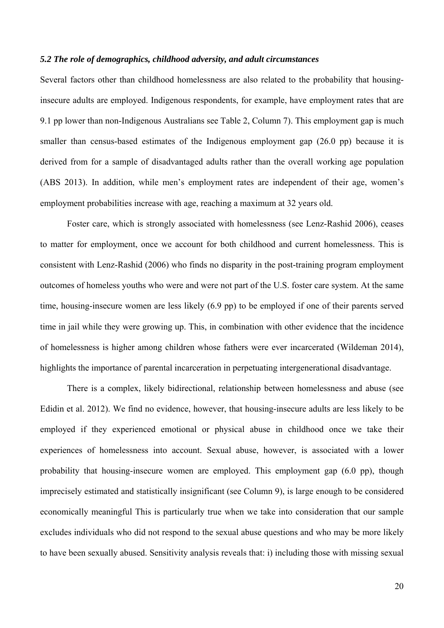#### *5.2 The role of demographics, childhood adversity, and adult circumstances*

Several factors other than childhood homelessness are also related to the probability that housinginsecure adults are employed. Indigenous respondents, for example, have employment rates that are 9.1 pp lower than non-Indigenous Australians see Table 2, Column 7). This employment gap is much smaller than census-based estimates of the Indigenous employment gap (26.0 pp) because it is derived from for a sample of disadvantaged adults rather than the overall working age population (ABS 2013). In addition, while men's employment rates are independent of their age, women's employment probabilities increase with age, reaching a maximum at 32 years old.

 Foster care, which is strongly associated with homelessness (see Lenz-Rashid 2006), ceases to matter for employment, once we account for both childhood and current homelessness. This is consistent with Lenz-Rashid (2006) who finds no disparity in the post-training program employment outcomes of homeless youths who were and were not part of the U.S. foster care system. At the same time, housing-insecure women are less likely (6.9 pp) to be employed if one of their parents served time in jail while they were growing up. This, in combination with other evidence that the incidence of homelessness is higher among children whose fathers were ever incarcerated (Wildeman 2014), highlights the importance of parental incarceration in perpetuating intergenerational disadvantage.

 There is a complex, likely bidirectional, relationship between homelessness and abuse (see Edidin et al. 2012). We find no evidence, however, that housing-insecure adults are less likely to be employed if they experienced emotional or physical abuse in childhood once we take their experiences of homelessness into account. Sexual abuse, however, is associated with a lower probability that housing-insecure women are employed. This employment gap (6.0 pp), though imprecisely estimated and statistically insignificant (see Column 9), is large enough to be considered economically meaningful This is particularly true when we take into consideration that our sample excludes individuals who did not respond to the sexual abuse questions and who may be more likely to have been sexually abused. Sensitivity analysis reveals that: i) including those with missing sexual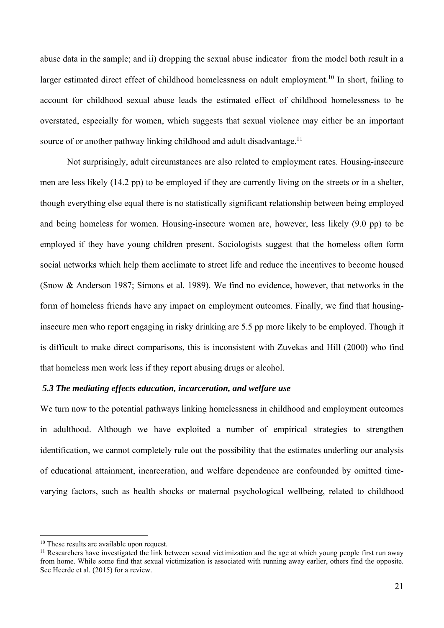abuse data in the sample; and ii) dropping the sexual abuse indicator from the model both result in a larger estimated direct effect of childhood homelessness on adult employment.<sup>10</sup> In short, failing to account for childhood sexual abuse leads the estimated effect of childhood homelessness to be overstated, especially for women, which suggests that sexual violence may either be an important source of or another pathway linking childhood and adult disadvantage.<sup>11</sup>

 Not surprisingly, adult circumstances are also related to employment rates. Housing-insecure men are less likely (14.2 pp) to be employed if they are currently living on the streets or in a shelter, though everything else equal there is no statistically significant relationship between being employed and being homeless for women. Housing-insecure women are, however, less likely (9.0 pp) to be employed if they have young children present. Sociologists suggest that the homeless often form social networks which help them acclimate to street life and reduce the incentives to become housed (Snow & Anderson 1987; Simons et al. 1989). We find no evidence, however, that networks in the form of homeless friends have any impact on employment outcomes. Finally, we find that housinginsecure men who report engaging in risky drinking are 5.5 pp more likely to be employed. Though it is difficult to make direct comparisons, this is inconsistent with Zuvekas and Hill (2000) who find that homeless men work less if they report abusing drugs or alcohol.

# *5.3 The mediating effects education, incarceration, and welfare use*

We turn now to the potential pathways linking homelessness in childhood and employment outcomes in adulthood. Although we have exploited a number of empirical strategies to strengthen identification, we cannot completely rule out the possibility that the estimates underling our analysis of educational attainment, incarceration, and welfare dependence are confounded by omitted timevarying factors, such as health shocks or maternal psychological wellbeing, related to childhood

 $\overline{a}$ 

<sup>&</sup>lt;sup>10</sup> These results are available upon request.

 $<sup>11</sup>$  Researchers have investigated the link between sexual victimization and the age at which young people first run away</sup> from home. While some find that sexual victimization is associated with running away earlier, others find the opposite. See Heerde et al. (2015) for a review.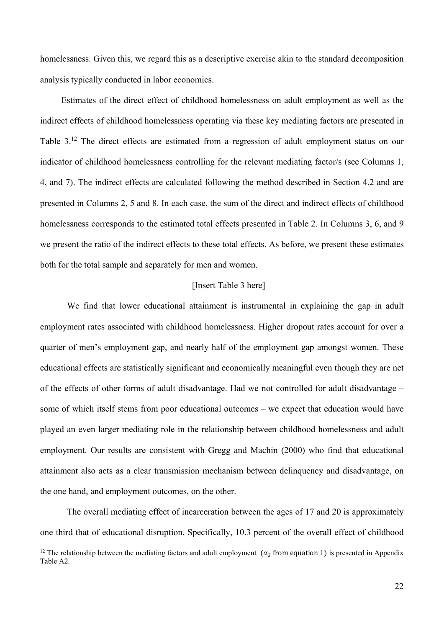homelessness. Given this, we regard this as a descriptive exercise akin to the standard decomposition analysis typically conducted in labor economics.

Estimates of the direct effect of childhood homelessness on adult employment as well as the indirect effects of childhood homelessness operating via these key mediating factors are presented in Table 3.<sup>12</sup> The direct effects are estimated from a regression of adult employment status on our indicator of childhood homelessness controlling for the relevant mediating factor/s (see Columns 1, 4, and 7). The indirect effects are calculated following the method described in Section 4.2 and are presented in Columns 2, 5 and 8. In each case, the sum of the direct and indirect effects of childhood homelessness corresponds to the estimated total effects presented in Table 2. In Columns 3, 6, and 9 we present the ratio of the indirect effects to these total effects. As before, we present these estimates both for the total sample and separately for men and women.

# [Insert Table 3 here]

We find that lower educational attainment is instrumental in explaining the gap in adult employment rates associated with childhood homelessness. Higher dropout rates account for over a quarter of men's employment gap, and nearly half of the employment gap amongst women. These educational effects are statistically significant and economically meaningful even though they are net of the effects of other forms of adult disadvantage. Had we not controlled for adult disadvantage – some of which itself stems from poor educational outcomes – we expect that education would have played an even larger mediating role in the relationship between childhood homelessness and adult employment. Our results are consistent with Gregg and Machin (2000) who find that educational attainment also acts as a clear transmission mechanism between delinquency and disadvantage, on the one hand, and employment outcomes, on the other.

The overall mediating effect of incarceration between the ages of 17 and 20 is approximately one third that of educational disruption. Specifically, 10.3 percent of the overall effect of childhood

 $\overline{a}$ 

<sup>&</sup>lt;sup>12</sup> The relationship between the mediating factors and adult employment  $(\alpha_3$  from equation 1) is presented in Appendix Table A2.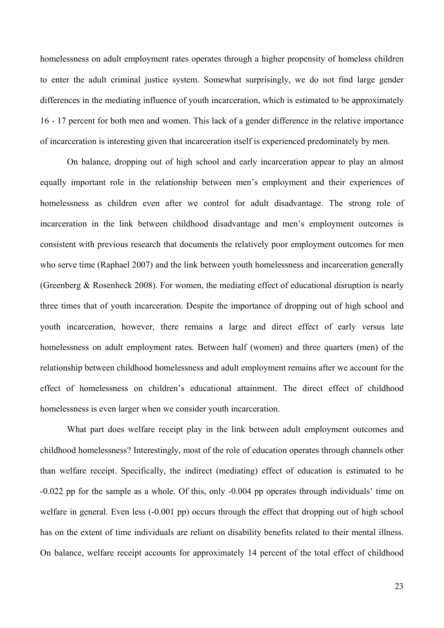homelessness on adult employment rates operates through a higher propensity of homeless children to enter the adult criminal justice system. Somewhat surprisingly, we do not find large gender differences in the mediating influence of youth incarceration, which is estimated to be approximately 16 - 17 percent for both men and women. This lack of a gender difference in the relative importance of incarceration is interesting given that incarceration itself is experienced predominately by men.

On balance, dropping out of high school and early incarceration appear to play an almost equally important role in the relationship between men's employment and their experiences of homelessness as children even after we control for adult disadvantage. The strong role of incarceration in the link between childhood disadvantage and men's employment outcomes is consistent with previous research that documents the relatively poor employment outcomes for men who serve time (Raphael 2007) and the link between youth homelessness and incarceration generally (Greenberg & Rosenheck 2008). For women, the mediating effect of educational disruption is nearly three times that of youth incarceration. Despite the importance of dropping out of high school and youth incarceration, however, there remains a large and direct effect of early versus late homelessness on adult employment rates. Between half (women) and three quarters (men) of the relationship between childhood homelessness and adult employment remains after we account for the effect of homelessness on children's educational attainment. The direct effect of childhood homelessness is even larger when we consider youth incarceration.

What part does welfare receipt play in the link between adult employment outcomes and childhood homelessness? Interestingly, most of the role of education operates through channels other than welfare receipt. Specifically, the indirect (mediating) effect of education is estimated to be -0.022 pp for the sample as a whole. Of this, only -0.004 pp operates through individuals' time on welfare in general. Even less (-0.001 pp) occurs through the effect that dropping out of high school has on the extent of time individuals are reliant on disability benefits related to their mental illness. On balance, welfare receipt accounts for approximately 14 percent of the total effect of childhood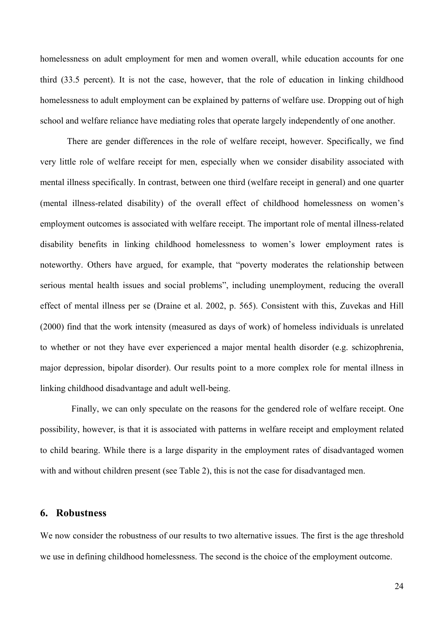homelessness on adult employment for men and women overall, while education accounts for one third (33.5 percent). It is not the case, however, that the role of education in linking childhood homelessness to adult employment can be explained by patterns of welfare use. Dropping out of high school and welfare reliance have mediating roles that operate largely independently of one another.

There are gender differences in the role of welfare receipt, however. Specifically, we find very little role of welfare receipt for men, especially when we consider disability associated with mental illness specifically. In contrast, between one third (welfare receipt in general) and one quarter (mental illness-related disability) of the overall effect of childhood homelessness on women's employment outcomes is associated with welfare receipt. The important role of mental illness-related disability benefits in linking childhood homelessness to women's lower employment rates is noteworthy. Others have argued, for example, that "poverty moderates the relationship between serious mental health issues and social problems", including unemployment, reducing the overall effect of mental illness per se (Draine et al. 2002, p. 565). Consistent with this, Zuvekas and Hill (2000) find that the work intensity (measured as days of work) of homeless individuals is unrelated to whether or not they have ever experienced a major mental health disorder (e.g. schizophrenia, major depression, bipolar disorder). Our results point to a more complex role for mental illness in linking childhood disadvantage and adult well-being.

 Finally, we can only speculate on the reasons for the gendered role of welfare receipt. One possibility, however, is that it is associated with patterns in welfare receipt and employment related to child bearing. While there is a large disparity in the employment rates of disadvantaged women with and without children present (see Table 2), this is not the case for disadvantaged men.

# **6. Robustness**

We now consider the robustness of our results to two alternative issues. The first is the age threshold we use in defining childhood homelessness. The second is the choice of the employment outcome.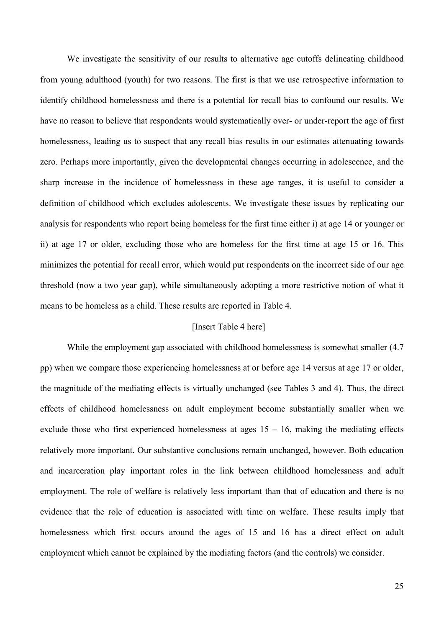We investigate the sensitivity of our results to alternative age cutoffs delineating childhood from young adulthood (youth) for two reasons. The first is that we use retrospective information to identify childhood homelessness and there is a potential for recall bias to confound our results. We have no reason to believe that respondents would systematically over- or under-report the age of first homelessness, leading us to suspect that any recall bias results in our estimates attenuating towards zero. Perhaps more importantly, given the developmental changes occurring in adolescence, and the sharp increase in the incidence of homelessness in these age ranges, it is useful to consider a definition of childhood which excludes adolescents. We investigate these issues by replicating our analysis for respondents who report being homeless for the first time either i) at age 14 or younger or ii) at age 17 or older, excluding those who are homeless for the first time at age 15 or 16. This minimizes the potential for recall error, which would put respondents on the incorrect side of our age threshold (now a two year gap), while simultaneously adopting a more restrictive notion of what it means to be homeless as a child. These results are reported in Table 4.

# [Insert Table 4 here]

While the employment gap associated with childhood homelessness is somewhat smaller (4.7 pp) when we compare those experiencing homelessness at or before age 14 versus at age 17 or older, the magnitude of the mediating effects is virtually unchanged (see Tables 3 and 4). Thus, the direct effects of childhood homelessness on adult employment become substantially smaller when we exclude those who first experienced homelessness at ages  $15 - 16$ , making the mediating effects relatively more important. Our substantive conclusions remain unchanged, however. Both education and incarceration play important roles in the link between childhood homelessness and adult employment. The role of welfare is relatively less important than that of education and there is no evidence that the role of education is associated with time on welfare. These results imply that homelessness which first occurs around the ages of 15 and 16 has a direct effect on adult employment which cannot be explained by the mediating factors (and the controls) we consider.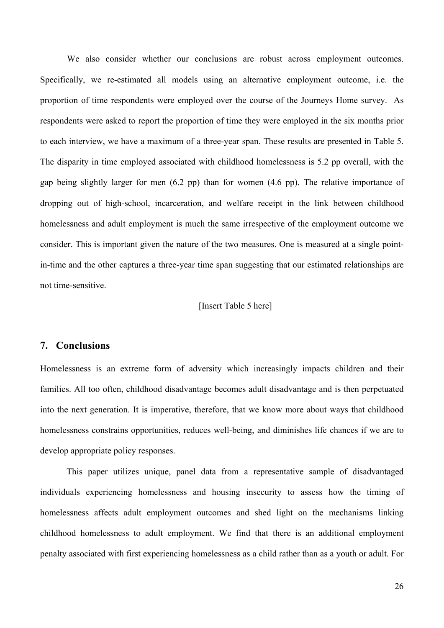We also consider whether our conclusions are robust across employment outcomes. Specifically, we re-estimated all models using an alternative employment outcome, i.e. the proportion of time respondents were employed over the course of the Journeys Home survey. As respondents were asked to report the proportion of time they were employed in the six months prior to each interview, we have a maximum of a three-year span. These results are presented in Table 5. The disparity in time employed associated with childhood homelessness is 5.2 pp overall, with the gap being slightly larger for men (6.2 pp) than for women (4.6 pp). The relative importance of dropping out of high-school, incarceration, and welfare receipt in the link between childhood homelessness and adult employment is much the same irrespective of the employment outcome we consider. This is important given the nature of the two measures. One is measured at a single pointin-time and the other captures a three-year time span suggesting that our estimated relationships are not time-sensitive.

# [Insert Table 5 here]

# **7. Conclusions**

Homelessness is an extreme form of adversity which increasingly impacts children and their families. All too often, childhood disadvantage becomes adult disadvantage and is then perpetuated into the next generation. It is imperative, therefore, that we know more about ways that childhood homelessness constrains opportunities, reduces well-being, and diminishes life chances if we are to develop appropriate policy responses.

This paper utilizes unique, panel data from a representative sample of disadvantaged individuals experiencing homelessness and housing insecurity to assess how the timing of homelessness affects adult employment outcomes and shed light on the mechanisms linking childhood homelessness to adult employment. We find that there is an additional employment penalty associated with first experiencing homelessness as a child rather than as a youth or adult. For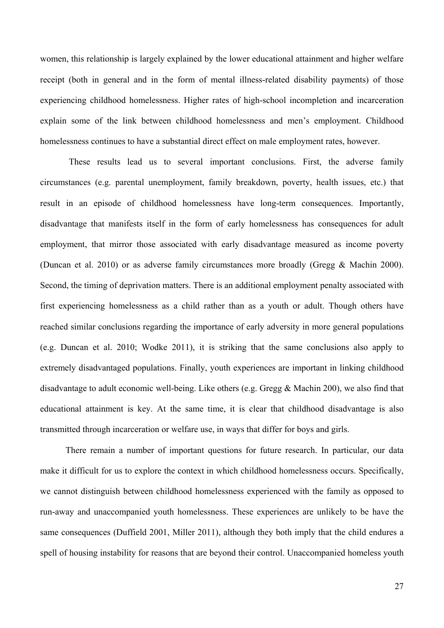women, this relationship is largely explained by the lower educational attainment and higher welfare receipt (both in general and in the form of mental illness-related disability payments) of those experiencing childhood homelessness. Higher rates of high-school incompletion and incarceration explain some of the link between childhood homelessness and men's employment. Childhood homelessness continues to have a substantial direct effect on male employment rates, however.

 These results lead us to several important conclusions. First, the adverse family circumstances (e.g. parental unemployment, family breakdown, poverty, health issues, etc.) that result in an episode of childhood homelessness have long-term consequences. Importantly, disadvantage that manifests itself in the form of early homelessness has consequences for adult employment, that mirror those associated with early disadvantage measured as income poverty (Duncan et al. 2010) or as adverse family circumstances more broadly (Gregg & Machin 2000). Second, the timing of deprivation matters. There is an additional employment penalty associated with first experiencing homelessness as a child rather than as a youth or adult. Though others have reached similar conclusions regarding the importance of early adversity in more general populations (e.g. Duncan et al. 2010; Wodke 2011), it is striking that the same conclusions also apply to extremely disadvantaged populations. Finally, youth experiences are important in linking childhood disadvantage to adult economic well-being. Like others (e.g. Gregg & Machin 200), we also find that educational attainment is key. At the same time, it is clear that childhood disadvantage is also transmitted through incarceration or welfare use, in ways that differ for boys and girls.

There remain a number of important questions for future research. In particular, our data make it difficult for us to explore the context in which childhood homelessness occurs. Specifically, we cannot distinguish between childhood homelessness experienced with the family as opposed to run-away and unaccompanied youth homelessness. These experiences are unlikely to be have the same consequences (Duffield 2001, Miller 2011), although they both imply that the child endures a spell of housing instability for reasons that are beyond their control. Unaccompanied homeless youth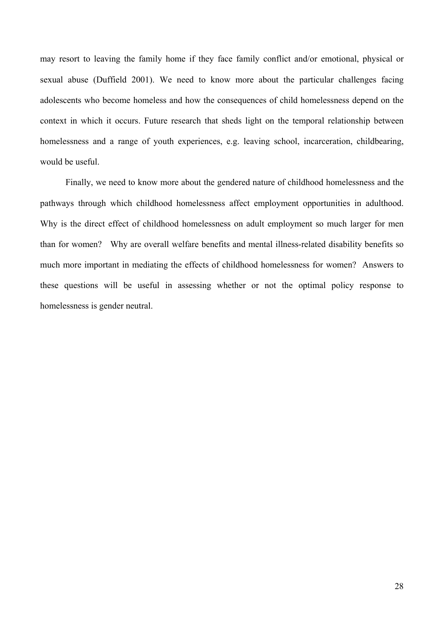may resort to leaving the family home if they face family conflict and/or emotional, physical or sexual abuse (Duffield 2001). We need to know more about the particular challenges facing adolescents who become homeless and how the consequences of child homelessness depend on the context in which it occurs. Future research that sheds light on the temporal relationship between homelessness and a range of youth experiences, e.g. leaving school, incarceration, childbearing, would be useful.

Finally, we need to know more about the gendered nature of childhood homelessness and the pathways through which childhood homelessness affect employment opportunities in adulthood. Why is the direct effect of childhood homelessness on adult employment so much larger for men than for women? Why are overall welfare benefits and mental illness-related disability benefits so much more important in mediating the effects of childhood homelessness for women? Answers to these questions will be useful in assessing whether or not the optimal policy response to homelessness is gender neutral.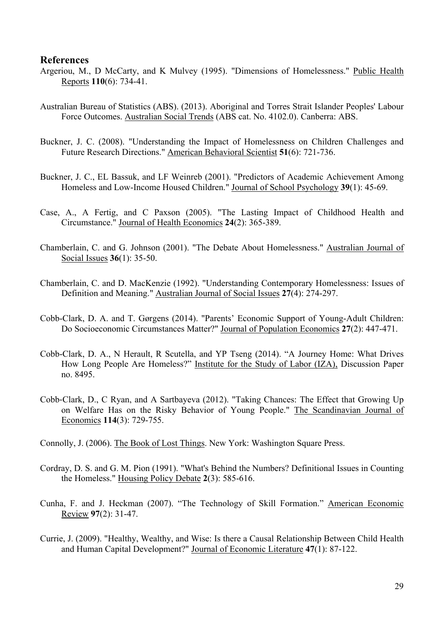# **References**

- Argeriou, M., D McCarty, and K Mulvey (1995). "Dimensions of Homelessness." Public Health Reports **110**(6): 734-41.
- Australian Bureau of Statistics (ABS). (2013). Aboriginal and Torres Strait Islander Peoples' Labour Force Outcomes. Australian Social Trends (ABS cat. No. 4102.0). Canberra: ABS.
- Buckner, J. C. (2008). "Understanding the Impact of Homelessness on Children Challenges and Future Research Directions." American Behavioral Scientist **51**(6): 721-736.
- Buckner, J. C., EL Bassuk, and LF Weinreb (2001). "Predictors of Academic Achievement Among Homeless and Low-Income Housed Children." Journal of School Psychology **39**(1): 45-69.
- Case, A., A Fertig, and C Paxson (2005). "The Lasting Impact of Childhood Health and Circumstance." Journal of Health Economics **24**(2): 365-389.
- Chamberlain, C. and G. Johnson (2001). "The Debate About Homelessness." Australian Journal of Social Issues **36**(1): 35-50.
- Chamberlain, C. and D. MacKenzie (1992). "Understanding Contemporary Homelessness: Issues of Definition and Meaning." Australian Journal of Social Issues **27**(4): 274-297.
- Cobb-Clark, D. A. and T. Gørgens (2014). "Parents' Economic Support of Young-Adult Children: Do Socioeconomic Circumstances Matter?" Journal of Population Economics **27**(2): 447-471.
- Cobb-Clark, D. A., N Herault, R Scutella, and YP Tseng (2014). "A Journey Home: What Drives How Long People Are Homeless?" Institute for the Study of Labor (IZA), Discussion Paper no. 8495.
- Cobb‐Clark, D., C Ryan, and A Sartbayeva (2012). "Taking Chances: The Effect that Growing Up on Welfare Has on the Risky Behavior of Young People." The Scandinavian Journal of Economics **114**(3): 729-755.
- Connolly, J. (2006). The Book of Lost Things. New York: Washington Square Press.
- Cordray, D. S. and G. M. Pion (1991). "What's Behind the Numbers? Definitional Issues in Counting the Homeless." Housing Policy Debate **2**(3): 585-616.
- Cunha, F. and J. Heckman (2007). "The Technology of Skill Formation." American Economic Review **97**(2): 31-47.
- Currie, J. (2009). "Healthy, Wealthy, and Wise: Is there a Causal Relationship Between Child Health and Human Capital Development?" Journal of Economic Literature **47**(1): 87-122.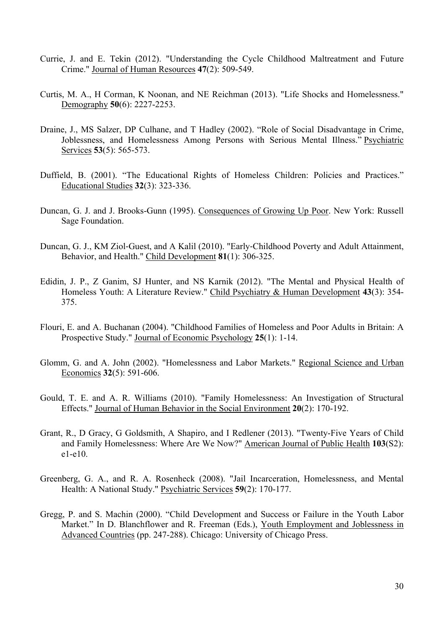- Currie, J. and E. Tekin (2012). "Understanding the Cycle Childhood Maltreatment and Future Crime." Journal of Human Resources **47**(2): 509-549.
- Curtis, M. A., H Corman, K Noonan, and NE Reichman (2013). "Life Shocks and Homelessness." Demography **50**(6): 2227-2253.
- Draine, J., MS Salzer, DP Culhane, and T Hadley (2002). "Role of Social Disadvantage in Crime, Joblessness, and Homelessness Among Persons with Serious Mental Illness." Psychiatric Services **53**(5): 565-573.
- Duffield, B. (2001). "The Educational Rights of Homeless Children: Policies and Practices." Educational Studies **32**(3): 323-336.
- Duncan, G. J. and J. Brooks-Gunn (1995). Consequences of Growing Up Poor. New York: Russell Sage Foundation.
- Duncan, G. J., KM Ziol‐Guest, and A Kalil (2010). "Early‐Childhood Poverty and Adult Attainment, Behavior, and Health." Child Development **81**(1): 306-325.
- Edidin, J. P., Z Ganim, SJ Hunter, and NS Karnik (2012). "The Mental and Physical Health of Homeless Youth: A Literature Review." Child Psychiatry & Human Development **43**(3): 354- 375.
- Flouri, E. and A. Buchanan (2004). "Childhood Families of Homeless and Poor Adults in Britain: A Prospective Study." Journal of Economic Psychology **25**(1): 1-14.
- Glomm, G. and A. John (2002). "Homelessness and Labor Markets." Regional Science and Urban Economics **32**(5): 591-606.
- Gould, T. E. and A. R. Williams (2010). "Family Homelessness: An Investigation of Structural Effects." Journal of Human Behavior in the Social Environment **20**(2): 170-192.
- Grant, R., D Gracy, G Goldsmith, A Shapiro, and I Redlener (2013). "Twenty-Five Years of Child and Family Homelessness: Where Are We Now?" American Journal of Public Health **103**(S2): e1-e10.
- Greenberg, G. A., and R. A. Rosenheck (2008). "Jail Incarceration, Homelessness, and Mental Health: A National Study." Psychiatric Services **59**(2): 170-177.
- Gregg, P. and S. Machin (2000). "Child Development and Success or Failure in the Youth Labor Market." In D. Blanchflower and R. Freeman (Eds.), Youth Employment and Joblessness in Advanced Countries (pp. 247-288). Chicago: University of Chicago Press.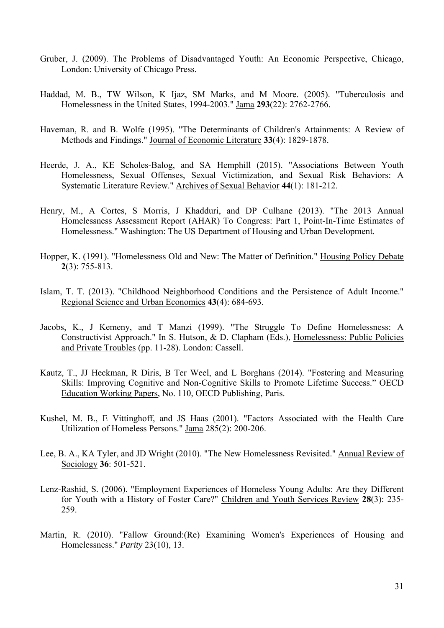- Gruber, J. (2009). The Problems of Disadvantaged Youth: An Economic Perspective, Chicago, London: University of Chicago Press.
- Haddad, M. B., TW Wilson, K Ijaz, SM Marks, and M Moore. (2005). "Tuberculosis and Homelessness in the United States, 1994-2003." Jama **293**(22): 2762-2766.
- Haveman, R. and B. Wolfe (1995). "The Determinants of Children's Attainments: A Review of Methods and Findings." Journal of Economic Literature **33**(4): 1829-1878.
- Heerde, J. A., KE Scholes-Balog, and SA Hemphill (2015). "Associations Between Youth Homelessness, Sexual Offenses, Sexual Victimization, and Sexual Risk Behaviors: A Systematic Literature Review." Archives of Sexual Behavior **44**(1): 181-212.
- Henry, M., A Cortes, S Morris, J Khadduri, and DP Culhane (2013). "The 2013 Annual Homelessness Assessment Report (AHAR) To Congress: Part 1, Point-In-Time Estimates of Homelessness." Washington: The US Department of Housing and Urban Development.
- Hopper, K. (1991). "Homelessness Old and New: The Matter of Definition." Housing Policy Debate **2**(3): 755-813.
- Islam, T. T. (2013). "Childhood Neighborhood Conditions and the Persistence of Adult Income." Regional Science and Urban Economics **43**(4): 684-693.
- Jacobs, K., J Kemeny, and T Manzi (1999). "The Struggle To Define Homelessness: A Constructivist Approach." In S. Hutson, & D. Clapham (Eds.), Homelessness: Public Policies and Private Troubles (pp. 11-28). London: Cassell.
- Kautz, T., JJ Heckman, R Diris, B Ter Weel, and L Borghans (2014). "Fostering and Measuring Skills: Improving Cognitive and Non-Cognitive Skills to Promote Lifetime Success." OECD Education Working Papers, No. 110, OECD Publishing, Paris.
- Kushel, M. B., E Vittinghoff, and JS Haas (2001). "Factors Associated with the Health Care Utilization of Homeless Persons." Jama 285(2): 200-206.
- Lee, B. A., KA Tyler, and JD Wright (2010). "The New Homelessness Revisited." Annual Review of Sociology **36**: 501-521.
- Lenz-Rashid, S. (2006). "Employment Experiences of Homeless Young Adults: Are they Different for Youth with a History of Foster Care?" Children and Youth Services Review **28**(3): 235- 259.
- Martin, R. (2010). "Fallow Ground:(Re) Examining Women's Experiences of Housing and Homelessness." *Parity* 23(10), 13.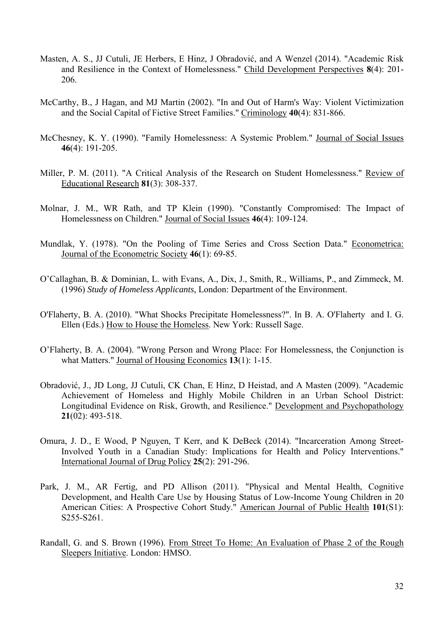- Masten, A. S., JJ Cutuli, JE Herbers, E Hinz, J Obradović, and A Wenzel (2014). "Academic Risk and Resilience in the Context of Homelessness." Child Development Perspectives **8**(4): 201- 206.
- McCarthy, B., J Hagan, and MJ Martin (2002). "In and Out of Harm's Way: Violent Victimization and the Social Capital of Fictive Street Families." Criminology **40**(4): 831-866.
- McChesney, K. Y. (1990). "Family Homelessness: A Systemic Problem." Journal of Social Issues **46**(4): 191-205.
- Miller, P. M. (2011). "A Critical Analysis of the Research on Student Homelessness." Review of Educational Research **81**(3): 308-337.
- Molnar, J. M., WR Rath, and TP Klein (1990). "Constantly Compromised: The Impact of Homelessness on Children." Journal of Social Issues **46**(4): 109-124.
- Mundlak, Y. (1978). "On the Pooling of Time Series and Cross Section Data." Econometrica: Journal of the Econometric Society **46**(1): 69-85.
- O'Callaghan, B. & Dominian, L. with Evans, A., Dix, J., Smith, R., Williams, P., and Zimmeck, M. (1996) *Study of Homeless Applicants,* London: Department of the Environment.
- O'Flaherty, B. A. (2010). "What Shocks Precipitate Homelessness?". In B. A. O'Flaherty and I. G. Ellen (Eds.) How to House the Homeless. New York: Russell Sage.
- O'Flaherty, B. A. (2004). "Wrong Person and Wrong Place: For Homelessness, the Conjunction is what Matters." Journal of Housing Economics **13**(1): 1-15.
- Obradović, J., JD Long, JJ Cutuli, CK Chan, E Hinz, D Heistad, and A Masten (2009). "Academic Achievement of Homeless and Highly Mobile Children in an Urban School District: Longitudinal Evidence on Risk, Growth, and Resilience." Development and Psychopathology **21**(02): 493-518.
- Omura, J. D., E Wood, P Nguyen, T Kerr, and K DeBeck (2014). "Incarceration Among Street-Involved Youth in a Canadian Study: Implications for Health and Policy Interventions." International Journal of Drug Policy **25**(2): 291-296.
- Park, J. M., AR Fertig, and PD Allison (2011). "Physical and Mental Health, Cognitive Development, and Health Care Use by Housing Status of Low-Income Young Children in 20 American Cities: A Prospective Cohort Study." American Journal of Public Health **101**(S1): S255-S261.
- Randall, G. and S. Brown (1996). From Street To Home: An Evaluation of Phase 2 of the Rough Sleepers Initiative. London: HMSO.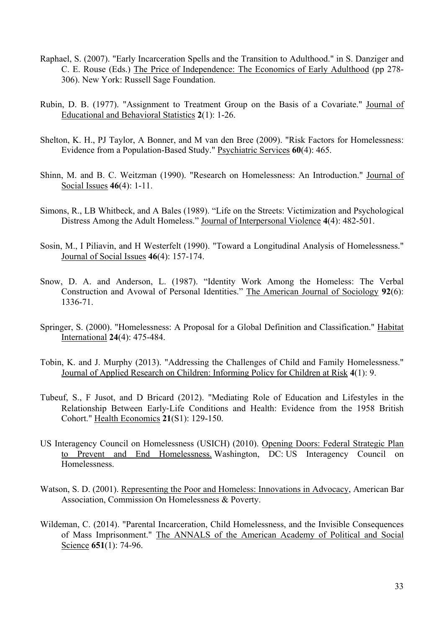- Raphael, S. (2007). "Early Incarceration Spells and the Transition to Adulthood." in S. Danziger and C. E. Rouse (Eds.) The Price of Independence: The Economics of Early Adulthood (pp 278- 306). New York: Russell Sage Foundation.
- Rubin, D. B. (1977). "Assignment to Treatment Group on the Basis of a Covariate." Journal of Educational and Behavioral Statistics **2**(1): 1-26.
- Shelton, K. H., PJ Taylor, A Bonner, and M van den Bree (2009). "Risk Factors for Homelessness: Evidence from a Population-Based Study." Psychiatric Services **60**(4): 465.
- Shinn, M. and B. C. Weitzman (1990). "Research on Homelessness: An Introduction." Journal of Social Issues **46**(4): 1-11.
- Simons, R., LB Whitbeck, and A Bales (1989). "Life on the Streets: Victimization and Psychological Distress Among the Adult Homeless." Journal of Interpersonal Violence **4**(4): 482-501.
- Sosin, M., I Piliavin, and H Westerfelt (1990). "Toward a Longitudinal Analysis of Homelessness." Journal of Social Issues **46**(4): 157-174.
- Snow, D. A. and Anderson, L. (1987). "Identity Work Among the Homeless: The Verbal Construction and Avowal of Personal Identities." The American Journal of Sociology **92**(6): 1336-71.
- Springer, S. (2000). "Homelessness: A Proposal for a Global Definition and Classification." Habitat International **24**(4): 475-484.
- Tobin, K. and J. Murphy (2013). "Addressing the Challenges of Child and Family Homelessness." Journal of Applied Research on Children: Informing Policy for Children at Risk **4**(1): 9.
- Tubeuf, S., F Jusot, and D Bricard (2012). "Mediating Role of Education and Lifestyles in the Relationship Between Early‐Life Conditions and Health: Evidence from the 1958 British Cohort." Health Economics **21**(S1): 129-150.
- US Interagency Council on Homelessness (USICH) (2010). Opening Doors: Federal Strategic Plan to Prevent and End Homelessness. Washington, DC: US Interagency Council on Homelessness.
- Watson, S. D. (2001). Representing the Poor and Homeless: Innovations in Advocacy, American Bar Association, Commission On Homelessness & Poverty.
- Wildeman, C. (2014). "Parental Incarceration, Child Homelessness, and the Invisible Consequences of Mass Imprisonment." The ANNALS of the American Academy of Political and Social Science **651**(1): 74-96.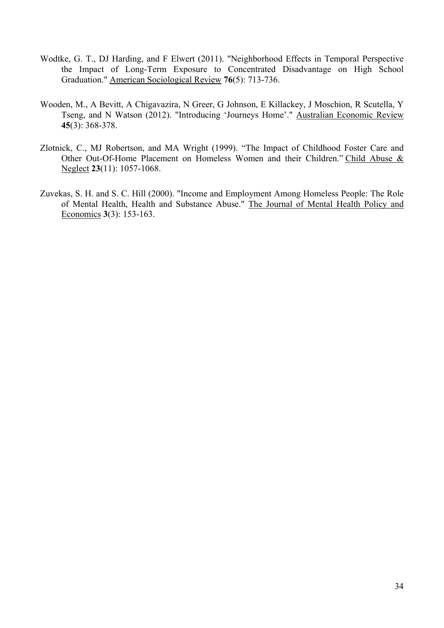- Wodtke, G. T., DJ Harding, and F Elwert (2011). "Neighborhood Effects in Temporal Perspective the Impact of Long-Term Exposure to Concentrated Disadvantage on High School Graduation." American Sociological Review **76**(5): 713-736.
- Wooden, M., A Bevitt, A Chigavazira, N Greer, G Johnson, E Killackey, J Moschion, R Scutella, Y Tseng, and N Watson (2012). "Introducing 'Journeys Home'." Australian Economic Review **45**(3): 368-378.
- Zlotnick, C., MJ Robertson, and MA Wright (1999). "The Impact of Childhood Foster Care and Other Out-Of-Home Placement on Homeless Women and their Children." Child Abuse & Neglect **23**(11): 1057-1068.
- Zuvekas, S. H. and S. C. Hill (2000). "Income and Employment Among Homeless People: The Role of Mental Health, Health and Substance Abuse." The Journal of Mental Health Policy and Economics **3**(3): 153-163.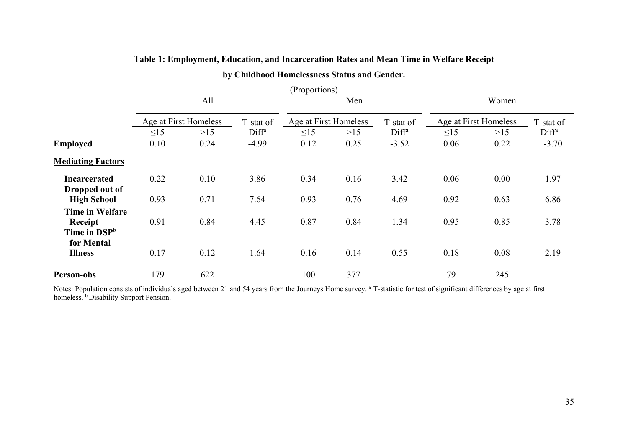|                                                               |          |                       |                   | (Proportions)         |      |                   |           |                       |                   |  |
|---------------------------------------------------------------|----------|-----------------------|-------------------|-----------------------|------|-------------------|-----------|-----------------------|-------------------|--|
|                                                               |          | All                   |                   |                       | Men  |                   | Women     |                       |                   |  |
|                                                               |          | Age at First Homeless | T-stat of         | Age at First Homeless |      | T-stat of         |           | Age at First Homeless | T-stat of         |  |
|                                                               | $\leq15$ | $>15$                 | Diff <sup>a</sup> | $\leq$ 15             | >15  | Diff <sup>a</sup> | $\leq$ 15 | >15                   | Diff <sup>a</sup> |  |
| <b>Employed</b>                                               | 0.10     | 0.24                  | $-4.99$           | 0.12                  | 0.25 | $-3.52$           | 0.06      | 0.22                  | $-3.70$           |  |
| <b>Mediating Factors</b>                                      |          |                       |                   |                       |      |                   |           |                       |                   |  |
| <b>Incarcerated</b><br>Dropped out of                         | 0.22     | 0.10                  | 3.86              | 0.34                  | 0.16 | 3.42              | 0.06      | 0.00                  | 1.97              |  |
| <b>High School</b>                                            | 0.93     | 0.71                  | 7.64              | 0.93                  | 0.76 | 4.69              | 0.92      | 0.63                  | 6.86              |  |
| <b>Time in Welfare</b><br>Receipt<br>Time in DSP <sup>b</sup> | 0.91     | 0.84                  | 4.45              | 0.87                  | 0.84 | 1.34              | 0.95      | 0.85                  | 3.78              |  |
| for Mental<br><b>Illness</b>                                  | 0.17     | 0.12                  | 1.64              | 0.16                  | 0.14 | 0.55              | 0.18      | 0.08                  | 2.19              |  |
| Person-obs                                                    | 179      | 622                   |                   | 100                   | 377  |                   | 79        | 245                   |                   |  |

# **Table 1: Employment, Education, and Incarceration Rates and Mean Time in Welfare Receipt**

**by Childhood Homelessness Status and Gender.** 

Notes: Population consists of individuals aged between 21 and 54 years from the Journeys Home survey.<sup>a</sup> T-statistic for test of significant differences by age at first homeless.<sup>b</sup> Disability Support Pension.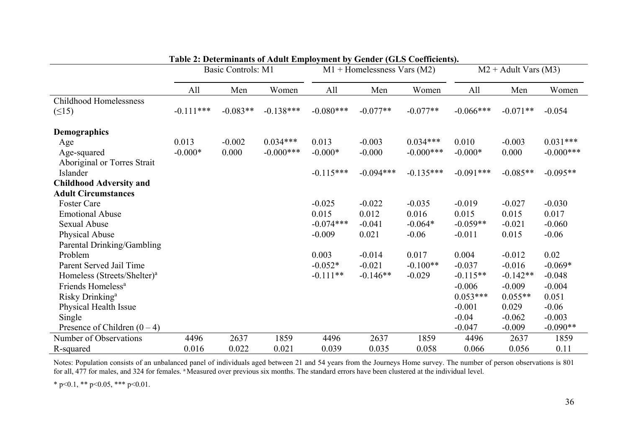|                                         |             | <b>Basic Controls: M1</b> |              |             | $M1$ + Homelessness Vars (M2) |              | $M2 +$ Adult Vars (M3) |            |             |  |
|-----------------------------------------|-------------|---------------------------|--------------|-------------|-------------------------------|--------------|------------------------|------------|-------------|--|
|                                         | All         | Men                       | Women        | All         | Men                           | Women        | All                    | Men        | Women       |  |
| Childhood Homelessness<br>(≤15)         | $-0.111***$ | $-0.083**$                | $-0.138***$  | $-0.080***$ | $-0.077**$                    | $-0.077**$   | $-0.066***$            | $-0.071**$ | $-0.054$    |  |
| Demographics                            |             |                           |              |             |                               |              |                        |            |             |  |
| Age                                     | 0.013       | $-0.002$                  | $0.034***$   | 0.013       | $-0.003$                      | $0.034***$   | 0.010                  | $-0.003$   | $0.031***$  |  |
| Age-squared                             | $-0.000*$   | 0.000                     | $-0.000$ *** | $-0.000*$   | $-0.000$                      | $-0.000$ *** | $-0.000*$              | 0.000      | $-0.000***$ |  |
| Aboriginal or Torres Strait             |             |                           |              |             |                               |              |                        |            |             |  |
| Islander                                |             |                           |              | $-0.115***$ | $-0.094***$                   | $-0.135***$  | $-0.091***$            | $-0.085**$ | $-0.095**$  |  |
| <b>Childhood Adversity and</b>          |             |                           |              |             |                               |              |                        |            |             |  |
| <b>Adult Circumstances</b>              |             |                           |              |             |                               |              |                        |            |             |  |
| <b>Foster Care</b>                      |             |                           |              | $-0.025$    | $-0.022$                      | $-0.035$     | $-0.019$               | $-0.027$   | $-0.030$    |  |
| <b>Emotional Abuse</b>                  |             |                           |              | 0.015       | 0.012                         | 0.016        | 0.015                  | 0.015      | 0.017       |  |
| <b>Sexual Abuse</b>                     |             |                           |              | $-0.074***$ | $-0.041$                      | $-0.064*$    | $-0.059**$             | $-0.021$   | $-0.060$    |  |
| Physical Abuse                          |             |                           |              | $-0.009$    | 0.021                         | $-0.06$      | $-0.011$               | 0.015      | $-0.06$     |  |
| Parental Drinking/Gambling              |             |                           |              |             |                               |              |                        |            |             |  |
| Problem                                 |             |                           |              | 0.003       | $-0.014$                      | 0.017        | 0.004                  | $-0.012$   | 0.02        |  |
| Parent Served Jail Time                 |             |                           |              | $-0.052*$   | $-0.021$                      | $-0.100**$   | $-0.037$               | $-0.016$   | $-0.069*$   |  |
| Homeless (Streets/Shelter) <sup>a</sup> |             |                           |              | $-0.111**$  | $-0.146**$                    | $-0.029$     | $-0.115**$             | $-0.142**$ | $-0.048$    |  |
| Friends Homeless <sup>a</sup>           |             |                           |              |             |                               |              | $-0.006$               | $-0.009$   | $-0.004$    |  |
| Risky Drinking <sup>a</sup>             |             |                           |              |             |                               |              | $0.053***$             | $0.055**$  | 0.051       |  |
| Physical Health Issue                   |             |                           |              |             |                               |              | $-0.001$               | 0.029      | $-0.06$     |  |
| Single                                  |             |                           |              |             |                               |              | $-0.04$                | $-0.062$   | $-0.003$    |  |
| Presence of Children $(0-4)$            |             |                           |              |             |                               |              | $-0.047$               | $-0.009$   | $-0.090**$  |  |
| Number of Observations                  | 4496        | 2637                      | 1859         | 4496        | 2637                          | 1859         | 4496                   | 2637       | 1859        |  |
| R-squared                               | 0.016       | 0.022                     | 0.021        | 0.039       | 0.035                         | 0.058        | 0.066                  | 0.056      | 0.11        |  |

Notes: Population consists of an unbalanced panel of individuals aged between 21 and 54 years from the Journeys Home survey. The number of person observations is 801 for all, 477 for males, and 324 for females. a Measured over previous six months. The standard errors have been clustered at the individual level.

\* p<0.1, \*\* p<0.05, \*\*\* p<0.01.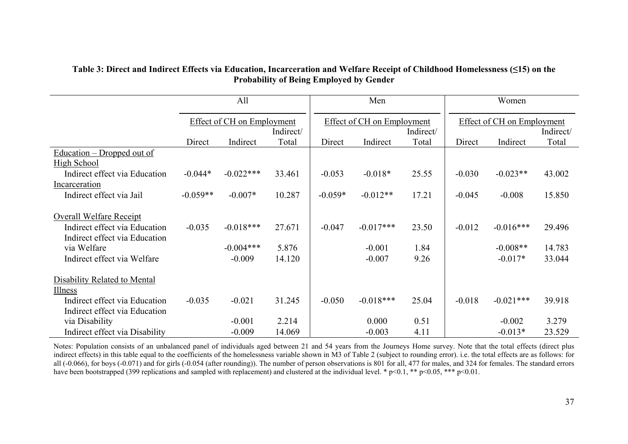# **Table 3: Direct and Indirect Effects via Education, Incarceration and Welfare Receipt of Childhood Homelessness ( ≤15) on the Probability of Being Employed by Gender**

|                                                                             |                            | All                     |                    |           | Men                        |                    | Women                      |                         |                    |  |
|-----------------------------------------------------------------------------|----------------------------|-------------------------|--------------------|-----------|----------------------------|--------------------|----------------------------|-------------------------|--------------------|--|
|                                                                             | Effect of CH on Employment |                         |                    |           | Effect of CH on Employment |                    | Effect of CH on Employment |                         |                    |  |
|                                                                             | Direct                     | Indirect                | Indirect/<br>Total | Direct    | Indirect                   | Indirect/<br>Total | Direct                     | Indirect                | Indirect/<br>Total |  |
| Education – Dropped out of<br>High School                                   |                            |                         |                    |           |                            |                    |                            |                         |                    |  |
| Indirect effect via Education                                               | $-0.044*$                  | $-0.022***$             | 33.461             | $-0.053$  | $-0.018*$                  | 25.55              | $-0.030$                   | $-0.023**$              | 43.002             |  |
| Incarceration<br>Indirect effect via Jail                                   | $-0.059**$                 | $-0.007*$               | 10.287             | $-0.059*$ | $-0.012**$                 | 17.21              | $-0.045$                   | $-0.008$                | 15.850             |  |
| <b>Overall Welfare Receipt</b><br>Indirect effect via Education             | $-0.035$                   | $-0.018***$             | 27.671             | $-0.047$  | $-0.017***$                | 23.50              | $-0.012$                   | $-0.016***$             | 29.496             |  |
| Indirect effect via Education<br>via Welfare<br>Indirect effect via Welfare |                            | $-0.004***$<br>$-0.009$ | 5.876<br>14.120    |           | $-0.001$<br>$-0.007$       | 1.84<br>9.26       |                            | $-0.008**$<br>$-0.017*$ | 14.783<br>33.044   |  |
| Disability Related to Mental<br>Illness                                     |                            |                         |                    |           |                            |                    |                            |                         |                    |  |
| Indirect effect via Education<br>Indirect effect via Education              | $-0.035$                   | $-0.021$                | 31.245             | $-0.050$  | $-0.018***$                | 25.04              | $-0.018$                   | $-0.021***$             | 39.918             |  |
| via Disability<br>Indirect effect via Disability                            |                            | $-0.001$<br>$-0.009$    | 2.214<br>14.069    |           | 0.000<br>$-0.003$          | 0.51<br>4.11       |                            | $-0.002$<br>$-0.013*$   | 3.279<br>23.529    |  |

Notes: Population consists of an unbalanced panel of individuals aged between 21 and 54 years from the Journeys Home survey. Note that the total effects (direct plus indirect effects) in this table equal to the coefficients of the homelessness variable shown in M3 of Table 2 (subject to rounding error). i.e. the total effects are as follows: for all (-0.066), for boys (-0.071) and for girls (-0.054 (after rounding)). The number of person observations is 801 for all, 477 for males, and 324 for females. The standard errors have been bootstrapped (399 replications and sampled with replacement) and clustered at the individual level. \*  $p<0.1$ , \*\*  $p<0.05$ , \*\*\*  $p<0.01$ .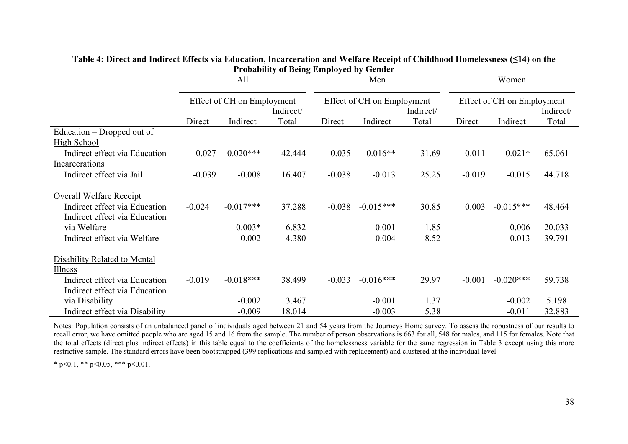|                                                                |          | All                        |           |          | Men                               |           | Women                                   |             |        |  |
|----------------------------------------------------------------|----------|----------------------------|-----------|----------|-----------------------------------|-----------|-----------------------------------------|-------------|--------|--|
|                                                                |          | Effect of CH on Employment | Indirect/ |          | <b>Effect of CH</b> on Employment | Indirect/ | Effect of CH on Employment<br>Indirect/ |             |        |  |
|                                                                | Direct   | Indirect                   | Total     | Direct   | Indirect                          | Total     | Direct                                  | Indirect    | Total  |  |
| Education – Dropped out of<br>High School                      |          |                            |           |          |                                   |           |                                         |             |        |  |
| Indirect effect via Education                                  | $-0.027$ | $-0.020***$                | 42.444    | $-0.035$ | $-0.016**$                        | 31.69     | $-0.011$                                | $-0.021*$   | 65.061 |  |
| Incarcerations                                                 |          |                            |           |          |                                   |           |                                         |             |        |  |
| Indirect effect via Jail                                       | $-0.039$ | $-0.008$                   | 16.407    | $-0.038$ | $-0.013$                          | 25.25     | $-0.019$                                | $-0.015$    | 44.718 |  |
| Overall Welfare Receipt<br>Indirect effect via Education       | $-0.024$ | $-0.017***$                | 37.288    | $-0.038$ | $-0.015***$                       | 30.85     | 0.003                                   | $-0.015***$ | 48.464 |  |
| Indirect effect via Education<br>via Welfare                   |          | $-0.003*$                  | 6.832     |          | $-0.001$                          | 1.85      |                                         | $-0.006$    | 20.033 |  |
| Indirect effect via Welfare                                    |          | $-0.002$                   | 4.380     |          | 0.004                             | 8.52      |                                         | $-0.013$    | 39.791 |  |
| <b>Disability Related to Mental</b><br>Illness                 |          |                            |           |          |                                   |           |                                         |             |        |  |
| Indirect effect via Education<br>Indirect effect via Education | $-0.019$ | $-0.018***$                | 38.499    | $-0.033$ | $-0.016***$                       | 29.97     | $-0.001$                                | $-0.020***$ | 59.738 |  |
| via Disability                                                 |          | $-0.002$                   | 3.467     |          | $-0.001$                          | 1.37      |                                         | $-0.002$    | 5.198  |  |
| Indirect effect via Disability                                 |          | $-0.009$                   | 18.014    |          | $-0.003$                          | 5.38      |                                         | $-0.011$    | 32.883 |  |

# **Table 4: Direct and Indirect Effects via Education, Incarceration and Welfare Receipt of Childhood Homelessness ( ≤14) on the Probability of Being Employed by Gender**

Notes: Population consists of an unbalanced panel of individuals aged between 21 and 54 years from the Journeys Home survey. To assess the robustness of our results to recall error, we have omitted people who are aged 15 and 16 from the sample. The number of person observations is 663 for all, 548 for males, and 115 for females. Note that the total effects (direct plus indirect effects) in this table equal to the coefficients of the homelessness variable for the same regression in Table 3 except using this more restrictive sample. The standard errors have been bootstrapped (399 replications and sampled with replacement) and clustered at the individual level.

\* p<0.1, \*\* p<0.05, \*\*\* p<0.01.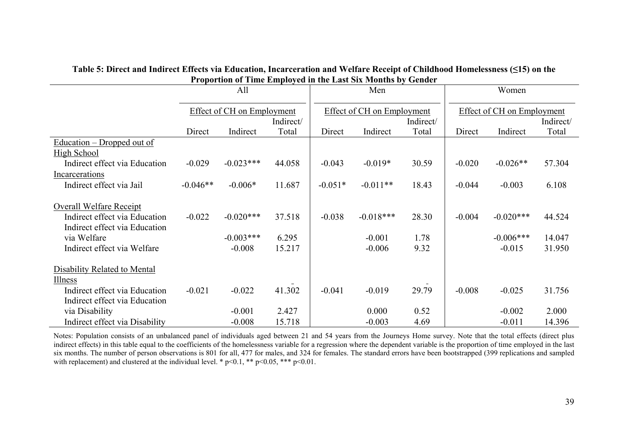|                                |                            | All         |        |           | Men                        |           | Women                             |             |        |  |  |
|--------------------------------|----------------------------|-------------|--------|-----------|----------------------------|-----------|-----------------------------------|-------------|--------|--|--|
|                                | Effect of CH on Employment |             |        |           |                            |           |                                   |             |        |  |  |
|                                |                            |             |        |           | Effect of CH on Employment |           | <b>Effect of CH</b> on Employment |             |        |  |  |
|                                |                            | Indirect/   |        |           |                            | Indirect/ |                                   | Indirect/   |        |  |  |
|                                | Direct                     | Indirect    | Total  | Direct    | Indirect                   | Total     | Direct                            | Indirect    | Total  |  |  |
| Education – Dropped out of     |                            |             |        |           |                            |           |                                   |             |        |  |  |
| High School                    |                            |             |        |           |                            |           |                                   |             |        |  |  |
| Indirect effect via Education  | $-0.029$                   | $-0.023***$ | 44.058 | $-0.043$  | $-0.019*$                  | 30.59     | $-0.020$                          | $-0.026**$  | 57.304 |  |  |
| Incarcerations                 |                            |             |        |           |                            |           |                                   |             |        |  |  |
| Indirect effect via Jail       | $-0.046**$                 | $-0.006*$   | 11.687 | $-0.051*$ | $-0.011**$                 | 18.43     | $-0.044$                          | $-0.003$    | 6.108  |  |  |
|                                |                            |             |        |           |                            |           |                                   |             |        |  |  |
| <b>Overall Welfare Receipt</b> |                            |             |        |           |                            |           |                                   |             |        |  |  |
| Indirect effect via Education  | $-0.022$                   | $-0.020***$ | 37.518 | $-0.038$  | $-0.018***$                | 28.30     | $-0.004$                          | $-0.020***$ | 44.524 |  |  |
| Indirect effect via Education  |                            |             |        |           |                            |           |                                   |             |        |  |  |
| via Welfare                    |                            | $-0.003***$ | 6.295  |           | $-0.001$                   | 1.78      |                                   | $-0.006***$ | 14.047 |  |  |
| Indirect effect via Welfare    |                            | $-0.008$    | 15.217 |           | $-0.006$                   | 9.32      |                                   | $-0.015$    | 31.950 |  |  |
|                                |                            |             |        |           |                            |           |                                   |             |        |  |  |
| Disability Related to Mental   |                            |             |        |           |                            |           |                                   |             |        |  |  |
| <b>Illness</b>                 |                            |             |        |           |                            |           |                                   |             |        |  |  |
| Indirect effect via Education  | $-0.021$                   | $-0.022$    | 41.302 | $-0.041$  | $-0.019$                   | 29.79     | $-0.008$                          | $-0.025$    | 31.756 |  |  |
| Indirect effect via Education  |                            |             |        |           |                            |           |                                   |             |        |  |  |
| via Disability                 |                            | $-0.001$    | 2.427  |           | 0.000                      | 0.52      |                                   | $-0.002$    | 2.000  |  |  |
| Indirect effect via Disability |                            | $-0.008$    | 15.718 |           | $-0.003$                   | 4.69      |                                   | $-0.011$    | 14.396 |  |  |

# **Table 5: Direct and Indirect Effects via Education, Incarceration and Welfare Receipt of Childhood Homelessness ( ≤15) on the Proportion of Time Employed in the Last Six Months by Gender**

 $\overline{a}$ 

Notes: Population consists of an unbalanced panel of individuals aged between 21 and 54 years from the Journeys Home survey. Note that the total effects (direct plus indirect effects) in this table equal to the coefficients of the homelessness variable for a regression where the dependent variable is the proportion of time employed in the last six months. The number of person observations is 801 for all, 477 for males, and 324 for females. The standard errors have been bootstrapped (399 replications and sampled with replacement) and clustered at the individual level. \*  $p<0.1$ , \*\*  $p<0.05$ , \*\*\*  $p<0.01$ .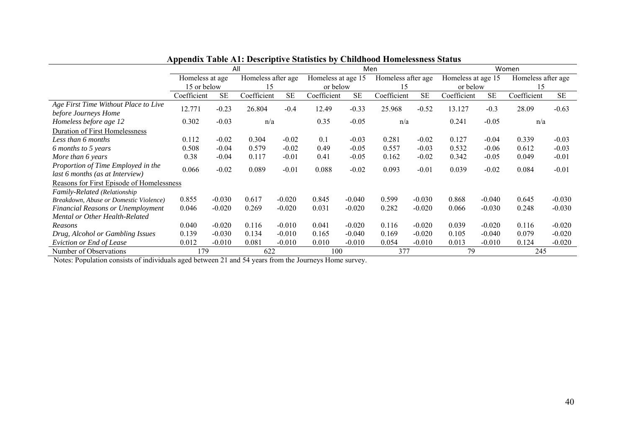| $\mu$<br>Chnunovu Homelessiiess Diatus    |                   |                 |             |                    |             |                                          |             |           |                    |           |                    |           |  |
|-------------------------------------------|-------------------|-----------------|-------------|--------------------|-------------|------------------------------------------|-------------|-----------|--------------------|-----------|--------------------|-----------|--|
|                                           |                   |                 | All         |                    |             | Men                                      |             |           |                    | Women     |                    |           |  |
|                                           |                   | Homeless at age |             | Homeless after age |             | Homeless after age<br>Homeless at age 15 |             |           | Homeless at age 15 |           | Homeless after age |           |  |
|                                           | 15 or below<br>15 |                 |             | or below<br>15     |             |                                          | or below    |           | 15                 |           |                    |           |  |
|                                           | Coefficient       | <b>SE</b>       | Coefficient | <b>SE</b>          | Coefficient | <b>SE</b>                                | Coefficient | <b>SE</b> | Coefficient        | <b>SE</b> | Coefficient        | <b>SE</b> |  |
| Age First Time Without Place to Live      | 12.771            | $-0.23$         | 26.804      |                    | 12.49       | $-0.33$                                  | 25.968      | $-0.52$   | 13.127             | $-0.3$    | 28.09              |           |  |
| before Journeys Home                      |                   |                 |             | $-0.4$             |             |                                          |             |           |                    |           |                    | $-0.63$   |  |
| Homeless before age 12                    | 0.302             | $-0.03$         | n/a         |                    | 0.35        | $-0.05$                                  | n/a         |           | 0.241              | $-0.05$   | n/a                |           |  |
| Duration of First Homelessness            |                   |                 |             |                    |             |                                          |             |           |                    |           |                    |           |  |
| Less than 6 months                        | 0.112             | $-0.02$         | 0.304       | $-0.02$            | 0.1         | $-0.03$                                  | 0.281       | $-0.02$   | 0.127              | $-0.04$   | 0.339              | $-0.03$   |  |
| 6 months to 5 years                       | 0.508             | $-0.04$         | 0.579       | $-0.02$            | 0.49        | $-0.05$                                  | 0.557       | $-0.03$   | 0.532              | $-0.06$   | 0.612              | $-0.03$   |  |
| More than 6 years                         | 0.38              | $-0.04$         | 0.117       | $-0.01$            | 0.41        | $-0.05$                                  | 0.162       | $-0.02$   | 0.342              | $-0.05$   | 0.049              | $-0.01$   |  |
| Proportion of Time Employed in the        | 0.066             | $-0.02$         | 0.089       | $-0.01$            | 0.088       | $-0.02$                                  | 0.093       | $-0.01$   | 0.039              | $-0.02$   | 0.084              | $-0.01$   |  |
| last 6 months (as at Interview)           |                   |                 |             |                    |             |                                          |             |           |                    |           |                    |           |  |
| Reasons for First Episode of Homelessness |                   |                 |             |                    |             |                                          |             |           |                    |           |                    |           |  |
| Family-Related (Relationship              |                   |                 |             |                    |             |                                          |             |           |                    |           |                    |           |  |
| Breakdown, Abuse or Domestic Violence)    | 0.855             | $-0.030$        | 0.617       | $-0.020$           | 0.845       | $-0.040$                                 | 0.599       | $-0.030$  | 0.868              | $-0.040$  | 0.645              | $-0.030$  |  |
| <b>Financial Reasons or Unemployment</b>  | 0.046             | $-0.020$        | 0.269       | $-0.020$           | 0.031       | $-0.020$                                 | 0.282       | $-0.020$  | 0.066              | $-0.030$  | 0.248              | $-0.030$  |  |
| Mental or Other Health-Related            |                   |                 |             |                    |             |                                          |             |           |                    |           |                    |           |  |
| Reasons                                   | 0.040             | $-0.020$        | 0.116       | $-0.010$           | 0.041       | $-0.020$                                 | 0.116       | $-0.020$  | 0.039              | $-0.020$  | 0.116              | $-0.020$  |  |
| Drug, Alcohol or Gambling Issues          | 0.139             | $-0.030$        | 0.134       | $-0.010$           | 0.165       | $-0.040$                                 | 0.169       | $-0.020$  | 0.105              | $-0.040$  | 0.079              | $-0.020$  |  |
| Eviction or End of Lease                  | 0.012             | $-0.010$        | 0.081       | $-0.010$           | 0.010       | $-0.010$                                 | 0.054       | $-0.010$  | 0.013              | $-0.010$  | 0.124              | $-0.020$  |  |
| Number of Observations                    | 179               |                 | 622         |                    | 100         |                                          | 377         |           | 79                 |           | 245                |           |  |

**Appendix Table A1: Descriptive Statistics by Childhood Homelessness Status** 

Notes: Population consists of individuals aged between 21 and 54 years from the Journeys Home survey.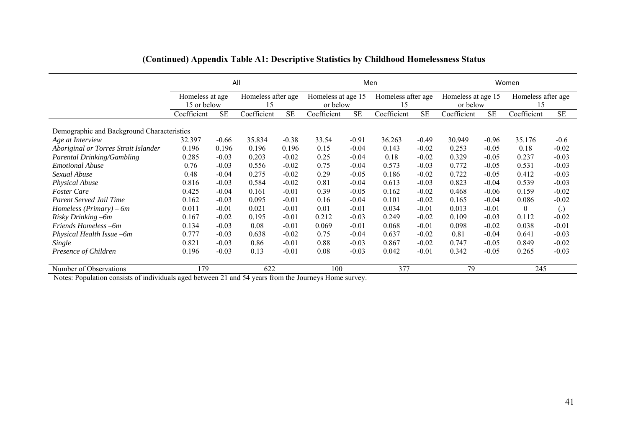|                                            | All                                                        |           |                                                            |           |             | Men      |                                |           |                          | Women     |             |                   |  |
|--------------------------------------------|------------------------------------------------------------|-----------|------------------------------------------------------------|-----------|-------------|----------|--------------------------------|-----------|--------------------------|-----------|-------------|-------------------|--|
|                                            | Homeless after age<br>Homeless at age<br>15 or below<br>15 |           | Homeless after age<br>Homeless at age 15<br>or below<br>15 |           |             |          | Homeless at age 15<br>or below |           | Homeless after age<br>15 |           |             |                   |  |
|                                            | Coefficient                                                | <b>SE</b> | Coefficient                                                | <b>SE</b> | Coefficient | $\rm SE$ | Coefficient                    | <b>SE</b> | Coefficient              | <b>SE</b> | Coefficient | $\rm SE$          |  |
| Demographic and Background Characteristics |                                                            |           |                                                            |           |             |          |                                |           |                          |           |             |                   |  |
| Age at Interview                           | 32.397                                                     | $-0.66$   | 35.834                                                     | $-0.38$   | 33.54       | $-0.91$  | 36.263                         | $-0.49$   | 30.949                   | $-0.96$   | 35.176      | $-0.6$            |  |
| Aboriginal or Torres Strait Islander       | 0.196                                                      | 0.196     | 0.196                                                      | 0.196     | 0.15        | $-0.04$  | 0.143                          | $-0.02$   | 0.253                    | $-0.05$   | 0.18        | $-0.02$           |  |
| <b>Parental Drinking/Gambling</b>          | 0.285                                                      | $-0.03$   | 0.203                                                      | $-0.02$   | 0.25        | $-0.04$  | 0.18                           | $-0.02$   | 0.329                    | $-0.05$   | 0.237       | $-0.03$           |  |
| <b>Emotional Abuse</b>                     | 0.76                                                       | $-0.03$   | 0.556                                                      | $-0.02$   | 0.75        | $-0.04$  | 0.573                          | $-0.03$   | 0.772                    | $-0.05$   | 0.531       | $-0.03$           |  |
| Sexual Abuse                               | 0.48                                                       | $-0.04$   | 0.275                                                      | $-0.02$   | 0.29        | $-0.05$  | 0.186                          | $-0.02$   | 0.722                    | $-0.05$   | 0.412       | $-0.03$           |  |
| Physical Abuse                             | 0.816                                                      | $-0.03$   | 0.584                                                      | $-0.02$   | 0.81        | $-0.04$  | 0.613                          | $-0.03$   | 0.823                    | $-0.04$   | 0.539       | $-0.03$           |  |
| <b>Foster Care</b>                         | 0.425                                                      | $-0.04$   | 0.161                                                      | $-0.01$   | 0.39        | $-0.05$  | 0.162                          | $-0.02$   | 0.468                    | $-0.06$   | 0.159       | $-0.02$           |  |
| <b>Parent Served Jail Time</b>             | 0.162                                                      | $-0.03$   | 0.095                                                      | $-0.01$   | 0.16        | $-0.04$  | 0.101                          | $-0.02$   | 0.165                    | $-0.04$   | 0.086       | $-0.02$           |  |
| Homeless $(Primary) - 6m$                  | 0.011                                                      | $-0.01$   | 0.021                                                      | $-0.01$   | 0.01        | $-0.01$  | 0.034                          | $-0.01$   | 0.013                    | $-0.01$   | $\theta$    | $\left( .\right)$ |  |
| Risky Drinking -6m                         | 0.167                                                      | $-0.02$   | 0.195                                                      | $-0.01$   | 0.212       | $-0.03$  | 0.249                          | $-0.02$   | 0.109                    | $-0.03$   | 0.112       | $-0.02$           |  |
| Friends Homeless –6m                       | 0.134                                                      | $-0.03$   | 0.08                                                       | $-0.01$   | 0.069       | $-0.01$  | 0.068                          | $-0.01$   | 0.098                    | $-0.02$   | 0.038       | $-0.01$           |  |
| Physical Health Issue -6m                  | 0.777                                                      | $-0.03$   | 0.638                                                      | $-0.02$   | 0.75        | $-0.04$  | 0.637                          | $-0.02$   | 0.81                     | $-0.04$   | 0.641       | $-0.03$           |  |
| Single                                     | 0.821                                                      | $-0.03$   | 0.86                                                       | $-0.01$   | 0.88        | $-0.03$  | 0.867                          | $-0.02$   | 0.747                    | $-0.05$   | 0.849       | $-0.02$           |  |
| Presence of Children                       | 0.196                                                      | $-0.03$   | 0.13                                                       | $-0.01$   | 0.08        | $-0.03$  | 0.042                          | $-0.01$   | 0.342                    | $-0.05$   | 0.265       | $-0.03$           |  |
| Number of Observations                     | 179                                                        |           | 622                                                        |           | 100         |          | 377                            |           | 79                       |           | 245         |                   |  |

# **(Continued) Appendix Table A1: Descriptive Statistics by Childhood Homelessness Status**

Notes: Population consists of individuals aged between 21 and 54 years from the Journeys Home survey.